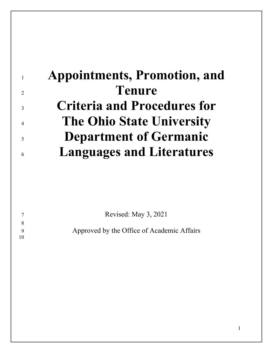|                          | <b>Appointments, Promotion, and</b> |
|--------------------------|-------------------------------------|
| $\overline{2}$           | <b>Tenure</b>                       |
| $\overline{\mathcal{E}}$ | <b>Criteria and Procedures for</b>  |
| $\overline{4}$           | <b>The Ohio State University</b>    |
| $\overline{\mathcal{L}}$ | <b>Department of Germanic</b>       |
| 6                        | <b>Languages and Literatures</b>    |

|    | Revised: May 3, 2021                       |
|----|--------------------------------------------|
|    |                                            |
|    | Approved by the Office of Academic Affairs |
| 10 |                                            |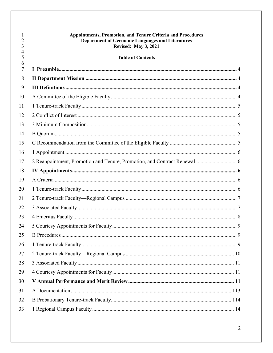| $\overline{2}$<br>3 | <b>Appointments, Promotion, and Tenure Criteria and Procedures</b><br><b>Department of Germanic Languages and Literatures</b><br><b>Revised: May 3, 2021</b> |  |
|---------------------|--------------------------------------------------------------------------------------------------------------------------------------------------------------|--|
| $\overline{4}$<br>5 | <b>Table of Contents</b>                                                                                                                                     |  |
| 6<br>7              |                                                                                                                                                              |  |
| 8                   |                                                                                                                                                              |  |
| 9                   |                                                                                                                                                              |  |
| 10                  |                                                                                                                                                              |  |
| 11                  |                                                                                                                                                              |  |
| 12                  |                                                                                                                                                              |  |
| 13                  |                                                                                                                                                              |  |
| 14                  |                                                                                                                                                              |  |
| 15                  |                                                                                                                                                              |  |
| 16                  |                                                                                                                                                              |  |
| 17                  |                                                                                                                                                              |  |
| 18                  |                                                                                                                                                              |  |
| 19                  |                                                                                                                                                              |  |
| 20                  |                                                                                                                                                              |  |
| 21                  |                                                                                                                                                              |  |
| 22                  |                                                                                                                                                              |  |
| 23                  |                                                                                                                                                              |  |
| 24                  |                                                                                                                                                              |  |
| 25                  |                                                                                                                                                              |  |
| 26                  |                                                                                                                                                              |  |
| 27                  |                                                                                                                                                              |  |
| 28                  |                                                                                                                                                              |  |
| 29                  |                                                                                                                                                              |  |
| 30                  |                                                                                                                                                              |  |
| 31                  |                                                                                                                                                              |  |
| 32                  |                                                                                                                                                              |  |
| 33                  |                                                                                                                                                              |  |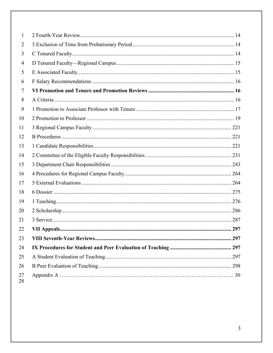| 1        |  |
|----------|--|
| 2        |  |
| 3        |  |
| 4        |  |
| 5        |  |
| 6        |  |
| 7        |  |
| 8        |  |
| 9        |  |
| 10       |  |
| 11       |  |
| 12       |  |
| 13       |  |
| 14       |  |
| 15       |  |
| 16       |  |
| 17       |  |
| 18       |  |
| 19       |  |
| 20       |  |
| 21       |  |
| 22       |  |
| 23       |  |
| 24       |  |
| 25       |  |
| 26       |  |
| 27<br>28 |  |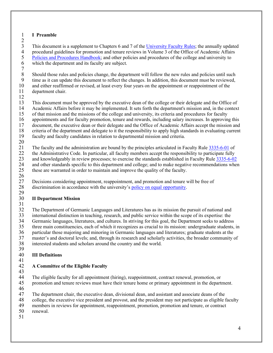### <span id="page-3-0"></span>1 **I Preamble**

 $\frac{2}{3}$ 3 This document is a supplement to Chapters 6 and 7 of the [University Faculty](https://trustees.osu.edu/bylaws-and-rules/university-faculty-rules) Rules; the annually updated procedural guidelines for promotion and tenure reviews in Volume 3 of the Office of Academic Affairs 4 procedural guidelines for promotion and tenure reviews in Volume 3 of the Office of Academic Affairs<br>5 Policies and Procedures Handbook; and other policies and procedures of the college and university to 5 Policies [and Procedures Handbook;](https://oaa.osu.edu/policies-and-procedures-handbook) and other policies and procedures of the college and university to<br>6 which the department and its faculty are subject. which the department and its faculty are subject.

 $7 \over 8$ 8 Should those rules and policies change, the department will follow the new rules and policies until such time as it can undate this document to reflect the changes. In addition, this document must be reviewed. 9 time as it can update this document to reflect the changes. In addition, this document must be reviewed,<br>10 and either reaffirmed or revised, at least every four years on the appointment or reappointment of the 10 and either reaffirmed or revised, at least every four years on the appointment or reappointment of the department chair. department chair.

12

13 This document must be approved by the executive dean of the college or their delegate and the Office of 14 Academic Affairs before it may be implemented. It sets forth the department's mission and, in the context

- 15 of that mission and the missions of the college and university, its criteria and procedures for faculty
- 16 appointments and for faculty promotion, tenure and rewards, including salary increases. In approving this<br>17 document, the executive dean or their delegate and the Office of Academic Affairs accept the mission and
- 17 document, the executive dean or their delegate and the Office of Academic Affairs accept the mission and<br>18 criteria of the department and delegate to it the responsibility to apply high standards in evaluating current
- 18 criteria of the department and delegate to it the responsibility to apply high standards in evaluating current 19 faculty and faculty candidates in relation to departmental mission and criteria.
- faculty and faculty candidates in relation to departmental mission and criteria.
- $\frac{20}{21}$

21 The faculty and the administration are bound by the principles articulated in Faculty Rule [3335-6-01](https://trustees.osu.edu/bylaws-and-rules/3335-6) of

22 the Administrative Code. In particular, all faculty members accept the responsibility to participate fully

- 23 and knowledgeably in review processes; to exercise the standards established in Faculty Rule  $\frac{3335-6-02}{2}$ <br>24 and other standards specific to this department and college; and to make negative recommendations when
- 24 and other standards specific to this department and college; and to make negative recommendations when<br>25 these are warranted in order to maintain and improve the quality of the faculty. these are warranted in order to maintain and improve the quality of the faculty.
- $\frac{26}{27}$ Decisions considering appointment, reappointment, and promotion and tenure will be free of 28 discrimination in accordance with the university's [policy on equal opportunity.](https://policies.osu.edu/assets/docs/policy_pdfs/AffirmativeActionEqualEmploymentOpportunityandNon-Discrimination-Harassment_FINAL.pdf)

### <span id="page-3-1"></span> $\frac{29}{30}$ 30 **II Department Mission**

 $\frac{31}{32}$ 

32 The Department of Germanic Languages and Literatures has as its mission the pursuit of national and<br>33 international distinction in teaching, research, and public service within the scope of its expertise: the 33 international distinction in teaching, research, and public service within the scope of its expertise: the<br>34 Germanic languages, literatures, and cultures. In striving for this goal, the Department seeks to addres 34 Germanic languages, literatures, and cultures. In striving for this goal, the Department seeks to address 35 three main constituencies, each of which it recognizes as crucial to its mission: undergraduate students, in 36 particular those majoring and minoring in Germanic languages and literatures; graduate students at the master's and doctoral levels; and, through its research and scholarly activities, the broader community of master's and doctoral levels; and, through its research and scholarly activities, the broader community of 38 interested students and scholars around the country and the world.

### <span id="page-3-2"></span>39 40 **III Definitions**

#### 41 42 **A Committee of the Eligible Faculty**

<span id="page-3-3"></span>

43 44 The eligible faculty for all appointment (hiring), reappointment, contract renewal, promotion, or<br>45 promotion and tenure reviews must have their tenure home or primary appointment in the depart 45 promotion and tenure reviews must have their tenure home or primary appointment in the department.

- 46<br>47
- 47 The department chair, the executive dean, divisional dean, and assistant and associate deans of the college, the executive vice president and provost, and the president may not participate as eligible f 48 college, the executive vice president and provost, and the president may not participate as eligible faculty
- 49 members in reviews for appointment, reappointment, promotion, promotion and tenure, or contract
- 50 renewal.
- 51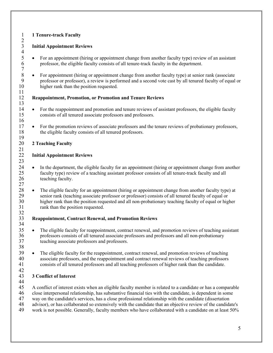# <span id="page-4-0"></span>1 **1 Tenure-track Faculty**  $\frac{2}{3}$

 $\frac{4}{5}$ 

 $\begin{array}{c} 7 \\ 8 \end{array}$ 

11

13

16

### 3 **Initial Appointment Reviews**

- 5 For an appointment (hiring or appointment change from another faculty type) review of an assistant professor, the eligible faculty consists of all tenure-track faculty in the department. professor, the eligible faculty consists of all tenure-track faculty in the department.
- 8 For appointment (hiring or appointment change from another faculty type) at senior rank (associate professor or professor), a review is performed and a second vote cast by all tenured faculty of equal 9 professor or professor), a review is performed and a second vote cast by all tenured faculty of equal or higher rank than the position requested. higher rank than the position requested.

### 12 **Reappointment, Promotion, or Promotion and Tenure Reviews**

- 14 For the reappointment and promotion and tenure reviews of assistant professors, the eligible faculty 15 consists of all tenured associate professors and professors.
- <sup>17</sup> For the promotion reviews of associate professors and the tenure reviews of probationary professors,<br>18 the eligible faculty consists of all tenured professors. the eligible faculty consists of all tenured professors.

#### <span id="page-4-1"></span> $\frac{19}{20}$ 20 **2 Teaching Faculty**

#### $\frac{21}{22}$ **Initial Appointment Reviews**

- $\frac{23}{24}$ In the department, the eligible faculty for an appointment (hiring or appointment change from another 25 faculty type) review of a teaching assistant professor consists of all tenure-track faculty and all 26 teaching faculty. 27
- <sup>28</sup> The eligible faculty for an appointment (hiring or appointment change from another faculty type) at senior rank (teaching associate professor or professor) consists of all tenured faculty of equal or 29 senior rank (teaching associate professor or professor) consists of all tenured faculty of equal or 30 higher rank than the position requested and all non-probationary teaching faculty of equal or higher 31 rank than the position requested.

#### $\frac{32}{33}$ 33 **Reappointment, Contract Renewal, and Promotion Reviews**  34

- <sup>35</sup> The eligible faculty for reappointment, contract renewal, and promotion reviews of teaching assistant professors consists of all tenured associate professors and professors and all non-probationary 36 professors consists of all tenured associate professors and professors and all non-probationary 37 teaching associate professors and professors.
- 39 The eligible faculty for the reappointment, contract renewal, and promotion reviews of teaching 40 associate professors, and the reappointment and contract renewal reviews of teaching professors 41 consists of all tenured professors and all teaching professors of higher rank than the candidate.

#### $\frac{42}{43}$ 43 **3 Conflict of Interest**

44<br>45

38

45 A conflict of interest exists when an eligible faculty member is related to a candidate or has a comparable

- 46 close interpersonal relationship, has substantive financial ties with the candidate, is dependent in some<br>47 way on the candidate's services, has a close professional relationship with the candidate (dissertation
- 47 way on the candidate's services, has a close professional relationship with the candidate (dissertation advisor), or has collaborated so extensively with the candidate that an objective review of the candidate
- 48 advisor), or has collaborated so extensively with the candidate that an objective review of the candidate's<br>49 work is not possible. Generally, faculty members who have collaborated with a candidate on at least 50%
- work is not possible. Generally, faculty members who have collaborated with a candidate on at least 50%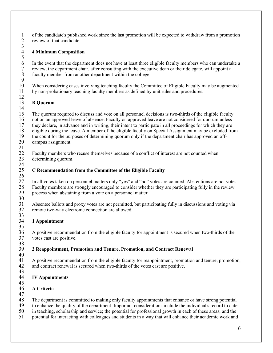1 of the candidate's published work since the last promotion will be expected to withdraw from a promotion review of that candidate. review of that candidate.  $\frac{3}{4}$ 

### <span id="page-5-0"></span>4 **4 Minimum Composition**

6 In the event that the department does not have at least three eligible faculty members who can undertake a review, the department chair, after consulting with the executive dean or their delegate, will appoint a 7 review, the department chair, after consulting with the executive dean or their delegate, will appoint a faculty member from another department within the college. faculty member from another department within the college.

 $\frac{9}{10}$ 10 When considering cases involving teaching faculty the Committee of Eligible Faculty may be augmented 11 by non-probationary teaching faculty members as defined by unit rules and procedures. by non-probationary teaching faculty members as defined by unit rules and procedures.

### <span id="page-5-1"></span>13 **B Quorum**

 $\frac{14}{15}$ 15 The quorum required to discuss and vote on all personnel decisions is two-thirds of the eligible faculty

16 not on an approved leave of absence. Faculty on approved leave are not considered for quorum unless<br>17 they declare, in advance and in writing, their intent to participate in all proceedings for which they are

17 they declare, in advance and in writing, their intent to participate in all proceedings for which they are<br>18 eligible during the leave. A member of the eligible faculty on Special Assignment may be excluded from

- 18 eligible during the leave. A member of the eligible faculty on Special Assignment may be excluded from<br>19 the count for the purposes of determining quorum only if the department chair has approved an off-
- the count for the purposes of determining quorum only if the department chair has approved an off-20 campus assignment.
- 21

 $\frac{5}{6}$ 

12

22 Faculty members who recuse themselves because of a conflict of interest are not counted when 23 determining quorum.

#### <span id="page-5-2"></span> $\frac{24}{25}$ 25 **C Recommendation from the Committee of the Eligible Faculty**

 $\frac{26}{27}$ 27 In all votes taken on personnel matters only "yes" and "no" votes are counted. Abstentions are not votes.<br>28 Faculty members are strongly encouraged to consider whether they are participating fully in the review 28 Faculty members are strongly encouraged to consider whether they are participating fully in the review process when abstaining from a vote on a personnel matter. process when abstaining from a vote on a personnel matter.

30<br>31 31 Absentee ballots and proxy votes are not permitted, but participating fully in discussions and voting via<br>32 remote two-wav electronic connection are allowed. remote two-way electronic connection are allowed.

#### <span id="page-5-3"></span> $\frac{33}{34}$ 34 **1 Appointment** 35

36 A positive recommendation from the eligible faculty for appointment is secured when two-thirds of the votes cast are positive. votes cast are positive.

#### <span id="page-5-4"></span>38<br>39 39 **2 Reappointment, Promotion and Tenure, Promotion, and Contract Renewal**

40<br>41 41 A positive recommendation from the eligible faculty for reappointment, promotion and tenure, promotion, 42 and contract renewal is secured when two-thirds of the votes cast are positive.

#### <span id="page-5-5"></span>43 44 **IV Appointments**

45

### <span id="page-5-6"></span>46 **A Criteria**

 $\frac{47}{48}$ 

The department is committed to making only faculty appointments that enhance or have strong potential

- 49 to enhance the quality of the department. Important considerations include the individual's record to date
- 50 in teaching, scholarship and service; the potential for professional growth in each of these areas; and the 51 potential for interacting with colleagues and students in a way that will enhance their academic work and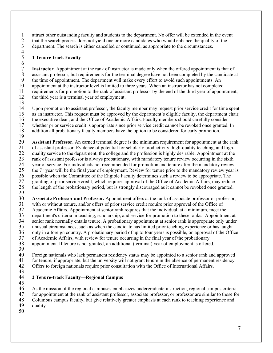1 attract other outstanding faculty and students to the department. No offer will be extended in the event<br>2 that the search process does not yield one or more candidates who would enhance the quality of the 2 that the search process does not yield one or more candidates who would enhance the quality of the department. The search is either cancelled or continued, as appropriate to the circumstances.

department. The search is either cancelled or continued, as appropriate to the circumstances.  $\frac{4}{5}$ 

### <span id="page-6-0"></span>5 **1 Tenure-track Faculty**

 $\frac{6}{7}$ 7 **Instructor**. Appointment at the rank of instructor is made only when the offered appointment is that of assistant professor, but requirements for the terminal degree have not been completed by the candidate a 8 assistant professor, but requirements for the terminal degree have not been completed by the candidate at the time of appointment. The department will make every effort to avoid such appointments. An 9 the time of appointment. The department will make every effort to avoid such appointments. An appointment at the instructor level is limited to three years. When an instructor has not completed 10 appointment at the instructor level is limited to three years. When an instructor has not completed requirements for promotion to the rank of assistant professor by the end of the third year of appoint 11 requirements for promotion to the rank of assistant professor by the end of the third year of appointment, 12 the third year is a terminal year of employment.

 $\frac{13}{14}$ 

Upon promotion to assistant professor, the faculty member may request prior service credit for time spent 15 as an instructor. This request must be approved by the department's eligible faculty, the department chair, 16 the executive dean, and the Office of Academic Affairs. Faculty members should carefully consider whether prior service credit is appropriate since prior service credit cannot be revoked once granted.

17 whether prior service credit is appropriate since prior service credit cannot be revoked once granted. In<br>18 addition all probationary faculty members have the option to be considered for early promotion.

addition all probationary faculty members have the option to be considered for early promotion.

19

20 **Assistant Professor.** An earned terminal degree is the minimum requirement for appointment at the rank<br>21 of assistant professor. Evidence of potential for scholarly productivity, high-quality teaching, and high-21 of assistant professor. Evidence of potential for scholarly productivity, high-quality teaching, and high-22 quality service to the department, the college and the profession is highly desirable. Appointment at the 23 rank of assistant professor is always probationary, with mandatory tenure review occurring in the sixth<br>24 vear of service. For individuals not recommended for promotion and tenure after the mandatory review. 24 year of service. For individuals not recommended for promotion and tenure after the mandatory review,<br>25 the  $7<sup>th</sup>$  year will be the final year of employment. Review for tenure prior to the mandatory review year i 25 the  $7<sup>th</sup>$  year will be the final year of employment. Review for tenure prior to the mandatory review year is possible when the Committee of the Eligible Faculty determines such a review to be appropriate. The 26 possible when the Committee of the Eligible Faculty determines such a review to be appropriate. The granting of prior service credit, which requires approval of the Office of Academic Affairs, may reduc 27 granting of prior service credit, which requires approval of the Office of Academic Affairs, may reduce<br>28 the length of the probationary period, but is strongly discouraged as it cannot be revoked once granted. 28 the length of the probationary period, but is strongly discouraged as it cannot be revoked once granted.

 $\frac{29}{30}$ **30 Associate Professor and Professor.** Appointment offers at the rank of associate professor or professor,<br>31 with or without tenure, and/or offers of prior service credit require prior approval of the Office of 31 with or without tenure, and/or offers of prior service credit require prior approval of the Office of<br>32 Academic Affairs. Appointment at senior rank requires that the individual, at a minimum, meet the

32 Academic Affairs. Appointment at senior rank requires that the individual, at a minimum, meet the department's criteria in teaching, scholarship, and service for promotion to these ranks. Appointment

- 33 department's criteria in teaching, scholarship, and service for promotion to these ranks. Appointment at senior rank normally entails tenure. A probationary appointment at senior rank is appropriate only under
- 34 senior rank normally entails tenure. A probationary appointment at senior rank is appropriate only under<br>35 unusual circumstances, such as when the candidate has limited prior teaching experience or has taught 35 unusual circumstances, such as when the candidate has limited prior teaching experience or has taught

36 only in a foreign country. A probationary period of up to four years is possible, on approval of the Office<br>37 of Academic Affairs, with review for tenure occurring in the final year of the probationary

37 of Academic Affairs, with review for tenure occurring in the final year of the probationary

38 appointment. If tenure is not granted, an additional (terminal) year of employment is offered.

- 39 40 Foreign nationals who lack permanent residency status may be appointed to a senior rank and approved 41 for tenure, if approved by the university will not grant tenure in the absence of permanent residency. for tenure, if appropriate, but the university will not grant tenure in the absence of permanent residency.
- 42 Offers to foreign nationals require prior consultation with the Office of International Affairs.
- 43

#### <span id="page-6-1"></span>44 **2 Tenure-track Faculty—Regional Campus** 45

46 As the mission of the regional campuses emphasizes undergraduate instruction, regional campus criteria<br>47 for appointment at the rank of assistant professor, associate professor, or professor are similar to those fo

47 for appointment at the rank of assistant professor, associate professor, or professor are similar to those for<br>48 Columbus campus faculty, but give relatively greater emphasis at each rank to teaching experience and

48 Columbus campus faculty, but give relatively greater emphasis at each rank to teaching experience and

49 quality.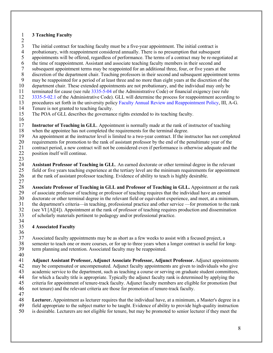### 1 **3 Teaching Faculty**

 $\frac{2}{3}$ 

- 3 The initial contract for teaching faculty must be a five-year appointment. The initial contract is probationary, with reappointment considered annually. There is no presumption that subsequently.
- 4 probationary, with reappointment considered annually. There is no presumption that subsequent<br>5 appointments will be offered, regardless of performance. The terms of a contract may be re-nego appointments will be offered, regardless of performance. The terms of a contract may be re-negotiated at
- 6 the time of reappointment. Assistant and associate teaching faculty members in their second and<br>7 subsequent appointment terms may be reappointed for an additional three, four, or five years at the
- 7 subsequent appointment terms may be reappointed for an additional three, four, or five years at the discretion of the department chair. Teaching professors in their second and subsequent appointment
- 8 discretion of the department chair. Teaching professors in their second and subsequent appointment terms<br>9 may be reappointed for a period of at least three and no more than eight vears at the discretion of the
- 9 may be reappointed for a period of at least three and no more than eight years at the discretion of the department chair. These extended appointments are not probationary, and the individual may only be
- 10 department chair. These extended appointments are not probationary, and the individual may only be<br>11 terminated for cause (see rule 3335-5-04 of the Administrative Code) or financial exigency (see rule 11 terminated for cause (see rule 3335-5-04 of the Administrative Code) or financial exigency (see rule
- 12 3335-5-02.1 of the Administrative Code). GLL will determine the process for reappointment according to
- 13 procedures set forth in the university policy Faculty Annual Review and Reappointment Policy, III, A-G.
- 14 Tenure is not granted to teaching faculty.
- 15 The POA of GLL describes the governance rights extended to its teaching faculty.
- $\frac{16}{17}$

17 **Instructor of Teaching in GLL**. Appointment is normally made at the rank of instructor of teaching when the appointee has not completed the requirements for the terminal degree. when the appointee has not completed the requirements for the terminal degree.

19 An appointment at the instructor level is limited to a two-year contract. If the instructor has not completed

20 requirements for promotion to the rank of assistant professor by the end of the penultimate year of the<br>21 contract period, a new contract will not be considered even if performance is otherwise adequate and the

21 contract period, a new contract will not be considered even if performance is otherwise adequate and the 22 position itself will continue.

 $\frac{23}{24}$ 24 **Assistant Professor of Teaching in GLL**. An earned doctorate or other terminal degree in the relevant field or five years teaching experience at the tertiary level are the minimum requirements for appointment 25 field or five years teaching experience at the tertiary level are the minimum requirements for appointment at the rank of assistant professor teaching. Evidence of ability to teach is highly desirable. 26 at the rank of assistant professor teaching. Evidence of ability to teach is highly desirable. 27

28 **Associate Professor of Teaching in GLL and Professor of Teaching in GLL.** Appointment at the rank 29 of associate professor of teaching or professor of teaching requires that the individual have an earned<br>30 doctorate or other terminal degree in the relevant field or equivalent experience, and meet, at a minim 30 doctorate or other terminal degree in the relevant field or equivalent experience, and meet, at a minimum,<br>31 the department's criteria—in teaching, professional practice and other service—for promotion to the rank 31 the department's criteria—in teaching, professional practice and other service —for promotion to the rank<br>32 (see VI [All4]). Appointment at the rank of professor of teaching requires production and dissemination 32 (see VI [A][4]). Appointment at the rank of professor of teaching requires production and dissemination<br>33 of scholarly materials pertinent to pedagogy and/or professional practice. 33 of scholarly materials pertinent to pedagogy and/or professional practice. 34

### <span id="page-7-0"></span>35 **4 Associated Faculty**

 $\frac{36}{37}$ Associated faculty appointments may be as short as a few weeks to assist with a focused project, a 38 semester to teach one or more courses, or for up to three years when a longer contract is useful for long-<br>39 term planning and retention. Associated faculty may be reappointed. term planning and retention. Associated faculty may be reappointed.

 $\frac{40}{41}$ 41 **Adjunct Assistant Professor, Adjunct Associate Professor, Adjunct Professor.** Adjunct appointments 42 may be compensated or uncompensated. Adjunct faculty appointments are given to individuals who give 43 academic service to the department, such as teaching a course or serving on graduate student committees,<br>44 for which a faculty title is appropriate. Typically the adjunct faculty rank is determined by applying the for which a faculty title is appropriate. Typically the adjunct faculty rank is determined by applying the 45 criteria for appointment of tenure-track faculty. Adjunct faculty members are eligible for promotion (but 46 not tenure) and the relevant criteria are those for promotion of tenure-track faculty.

- 
- 47<br>48 **Lecturer.** Appointment as lecturer requires that the individual have, at a minimum, a Master's degree in a
- 49 field appropriate to the subject matter to be taught. Evidence of ability to provide high-quality instruction
- 50 is desirable. Lecturers are not eligible for tenure, but may be promoted to senior lecturer if they meet the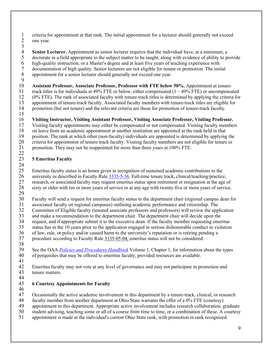1 criteria for appointment at that rank. The initial appointment for a lecturer should generally not exceed<br>2 one year. one year.

 $\frac{3}{4}$ 

 **Senior Lecturer.** Appointment as senior lecturer requires that the individual have, at a minimum, a doctorate in a field appropriate to the subject matter to be taught, along with evidence of ability to pr 5 doctorate in a field appropriate to the subject matter to be taught, along with evidence of ability to provide<br>6 high-quality instruction; or a Master's degree and at least five years of teaching experience with high-quality instruction; or a Master's degree and at least five years of teaching experience with documentation of high quality. Senior lecturers are not eligible for tenure or promotion. The initial

appointment for a senior lecturer should generally not exceed one year.

 $\frac{9}{10}$ 10 **Assistant Professor, Associate Professor, Professor with FTE below 50%.** Appointment at tenure-<br>11 track titles is for individuals at 49% FTE or below, either compensated (1 – 49% FTE) or uncompensa track titles is for individuals at 49% FTE or below, either compensated  $(1 - 49\%$  FTE) or uncompensated 12 (0% FTE). The rank of associated faculty with tenure-track titles is determined by applying the criteria for

13 appointment of tenure-track faculty. Associated faculty members with tenure-track titles are eligible for<br>14 promotion (but not tenure) and the relevant criteria are those for promotion of tenure-track faculty. 14 promotion (but not tenure) and the relevant criteria are those for promotion of tenure-track faculty.

15

# 16 **Visiting Instructor, Visiting Assistant Professor, Visiting Associate Professor, Visiting Professor.**

17 Visiting faculty appointments may either be compensated or not compensated. Visiting faculty members 18 on leave from an academic appointment at another institution are appointed at the rank held in that 18 on leave from an academic appointment at another institution are appointed at the rank held in that position. The rank at which other (non-faculty) individuals are appointed is determined by applying 19 position. The rank at which other (non-faculty) individuals are appointed is determined by applying the 20 criteria for appointment of tenure-track faculty. Visiting faculty members are not eligible for tenure or promotion. They may not be reappointed for more than three years at 100% FTE.

promotion. They may not be reappointed for more than three years at 100% FTE. 22

### <span id="page-8-0"></span>23 **5 Emeritus Faculty**

 $\frac{24}{25}$ 25 Emeritus faculty status is an honor given in recognition of sustained academic contributions to the<br>26 university as described in Faculty Rule 3335-5-36. Full-time tenure track, clinical/teaching/practice 26 university as described in Faculty Rule  $3335-5-36$ . Full-time tenure track, clinical/teaching/practice,<br>27 research, or associated faculty may request emeritus status upon retirement or resignation at the age 27 research, or associated faculty may request emeritus status upon retirement or resignation at the age of sixty or older with ten or more years of service or at any age with twenty-five or more years of service.

sixty or older with ten or more years of service or at any age with twenty-five or more years of service. 29<br>30

30 Faculty will send a request for emeritus faculty status to the department chair (regional campus dean for<br>31 associated faculty on regional campuses) outlining academic performance and citizenship. The

associated faculty on regional campuses) outlining academic performance and citizenship. The

32 Committee of Eligible faculty (tenured associate professors and professors) will review the application<br>33 and make a recommendation to the department chair. The department chair will decide upon the

33 and make a recommendation to the department chair. The department chair will decide upon the request, and if appropriate submit it to the executive dean. If the faculty member requesting emer

34 request, and if appropriate submit it to the executive dean. If the faculty member requesting emeritus status has in the 10 years prior to the application engaged in serious dishonorable conduct in violation

35 status has in the 10 years prior to the application engaged in serious dishonorable conduct in violation<br>36 of law, rule, or policy and/or caused harm to the university's reputation or is retiring pending a

36 of law, rule, or policy and/or caused harm to the university's reputation or is retiring pending a procedure according to Faculty Rule 3335-05-04, emeritus status will not be considered. 37 procedure according to Faculty Rule [3335-05-04,](https://trustees.osu.edu/university-faculty-rules/3335-5) emeritus status will not be considered.

38

39 See the OAA *[Policies and Procedures Handbook](https://oaa.osu.edu/policies-and-procedures-handbook)* Volume 1, Chapter 1, for information about the types of perquisites that may be offered to emeritus faculty, provided resources are available. 40 of perquisites that may be offered to emeritus faculty, provided resources are available. 41

42 Emeritus faculty may not vote at any level of governance and may not participate in promotion and tenure matters. tenure matters.

#### 44<br>45 45 **6 Courtesy Appointments for Faculty**

<span id="page-8-1"></span>

46<br>47 47 Occasionally the active academic involvement in this department by a tenure-track, clinical, or research

48 faculty member from another department at Ohio State warrants the offer of a 0% FTE (courtesy)

- 49 appointment in this department. Appropriate active involvement includes research collaboration, graduate<br>50 student advising, teaching some or all of a course from time to time, or a combination of these. A courtesy
- 50 student advising, teaching some or all of a course from time to time, or a combination of these. A courtesy<br>51 appointment is made at the individual's current Ohio State rank, with promotion in rank recognized.
- appointment is made at the individual's current Ohio State rank, with promotion in rank recognized.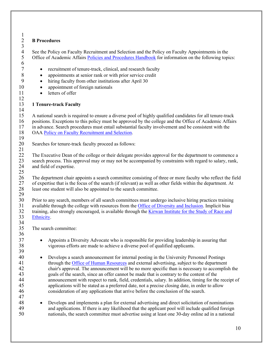#### <span id="page-9-0"></span> $\frac{1}{2}$ 2 **B Procedures**

 $\frac{3}{4}$ 

 $\frac{6}{7}$ 

12

4 See the Policy on Faculty Recruitment and Selection and the Policy on Faculty Appointments in the Office of Academic Affairs Policies and Procedures Handbook for information on the following topi Office of Academic Affairs [Policies and Procedures Handbook](https://oaa.osu.edu/policies-and-procedures-handbook) for information on the following topics:

- recruitment of tenure-track, clinical, and research faculty
- 8 appointments at senior rank or with prior service credit<br>9 hiring faculty from other institutions after April 30
	- hiring faculty from other institutions after April 30
- 10 appointment of foreign nationals
- 11 letters of offer

### <span id="page-9-1"></span>13 **1 Tenure-track Faculty**

 $\frac{14}{15}$ 15 A national search is required to ensure a diverse pool of highly qualified candidates for all tenure-track 16 positions. Exceptions to this policy must be approved by the college and the Office of Academic Affairs 17 in advance. Search procedures must entail substantial faculty involvement and be consistent with the OAA Policy on Faculty Recruitment and Selection. OAA [Policy on Faculty Recruitment and Selection.](http://oaa.osu.edu/sites/default/files/links_files/facultyrecruitment.pdf)

 $\frac{19}{20}$ Searches for tenure-track faculty proceed as follows:

 $\frac{21}{22}$ The Executive Dean of the college or their delegate provides approval for the department to commence a 23 search process. This approval may or may not be accompanied by constraints with regard to salary, rank, 24 and field of expertise.

 $\frac{25}{26}$ 26 The department chair appoints a search committee consisting of three or more faculty who reflect the field<br>27 of expertise that is the focus of the search (if relevant) as well as other fields within the department. At 27 of expertise that is the focus of the search (if relevant) as well as other fields within the department. At least one student will also be appointed to the search committee. least one student will also be appointed to the search committee. 29

30 Prior to any search, members of all search committees must undergo inclusive hiring practices training<br>31 available through the college with resources from the Office of Diversity and Inclusion. Implicit bias 31 available through the college with resources from the [Office of Diversity and Inclusion.](https://odi.osu.edu/) Implicit bias<br>32 training, also strongly encouraged, is available through the Kirwan Institute for the Study of Race and training, also strongly encouraged, is available through the Kirwan Institute for the Study of Race and 33 [Ethnicity.](https://kirwaninstitute.osu.edu/) 34<br>35

The search committee:

37 • Appoints a Diversity Advocate who is responsible for providing leadership in assuring that 38 vigorous efforts are made to achieve a diverse pool of qualified applicants.

39

47

36

- 40 Develops a search announcement for internal posting in the University Personnel Postings 41 through the [Office of Human Resources](https://hr.osu.edu/) and external advertising, subject to the department 42 chair's approval. The announcement will be no more specific than is necessary to accomplish the 43 goals of the search, since an offer cannot be made that is contrary to the content of the 44 announcement with respect to rank, field, credentials, salary. In addition, timing for the receipt of 45 applications will be stated as a preferred date, not a precise closing date, in order to allow 46 consideration of any applications that arrive before the conclusion of the search.
- 48 Develops and implements a plan for external advertising and direct solicitation of nominations 49 and applications. If there is any likelihood that the applicant pool will include qualified foreign<br>50 contractionals the search committee must advertise using at least one 30-day online ad in a national nationals, the search committee must advertise using at least one 30-day online ad in a national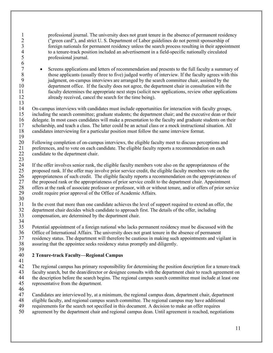| $\mathbf{1}$<br>$\overline{2}$<br>3<br>$\overline{4}$<br>5<br>6 | professional journal. The university does not grant tenure in the absence of permanent residency<br>("green card"), and strict U.S. Department of Labor guidelines do not permit sponsorship of<br>foreign nationals for permanent residency unless the search process resulting in their appointment<br>to a tenure-track position included an advertisement in a field-specific nationally circulated<br>professional journal.                                                                                                                                                                                            |
|-----------------------------------------------------------------|-----------------------------------------------------------------------------------------------------------------------------------------------------------------------------------------------------------------------------------------------------------------------------------------------------------------------------------------------------------------------------------------------------------------------------------------------------------------------------------------------------------------------------------------------------------------------------------------------------------------------------|
| $\overline{7}$<br>$\,8\,$<br>9<br>10<br>11<br>12<br>13          | Screens applications and letters of recommendation and presents to the full faculty a summary of<br>$\bullet$<br>those applicants (usually three to five) judged worthy of interview. If the faculty agrees with this<br>judgment, on-campus interviews are arranged by the search committee chair, assisted by the<br>department office. If the faculty does not agree, the department chair in consultation with the<br>faculty determines the appropriate next steps (solicit new applications, review other applications<br>already received, cancel the search for the time being).                                    |
| 14<br>15<br>16<br>17<br>18<br>19                                | On-campus interviews with candidates must include opportunities for interaction with faculty groups,<br>including the search committee; graduate students; the department chair; and the executive dean or their<br>delegate. In most cases candidates will make a presentation to the faculty and graduate students on their<br>scholarship, and teach a class. The latter could be an actual class or a mock instructional situation. All<br>candidates interviewing for a particular position must follow the same interview format.                                                                                     |
| 20<br>21<br>22<br>23                                            | Following completion of on-campus interviews, the eligible faculty meet to discuss perceptions and<br>preferences, and to vote on each candidate. The eligible faculty reports a recommendation on each<br>candidate to the department chair.                                                                                                                                                                                                                                                                                                                                                                               |
| 24<br>25<br>26<br>$27\,$<br>$28\,$<br>29<br>30                  | If the offer involves senior rank, the eligible faculty members vote also on the appropriateness of the<br>proposed rank. If the offer may involve prior service credit, the eligible faculty members vote on the<br>appropriateness of such credit. The eligible faculty reports a recommendation on the appropriateness of<br>the proposed rank or the appropriateness of prior service credit to the department chair. Appointment<br>offers at the rank of associate professor or professor, with or without tenure, and/or offers of prior service<br>credit require prior approval of the Office of Academic Affairs. |
| 31<br>32<br>33<br>34                                            | In the event that more than one candidate achieves the level of support required to extend an offer, the<br>department chair decides which candidate to approach first. The details of the offer, including<br>compensation, are determined by the department chair.                                                                                                                                                                                                                                                                                                                                                        |
| 35<br>36<br>37<br>38<br>39                                      | Potential appointment of a foreign national who lacks permanent residency must be discussed with the<br>Office of International Affairs. The university does not grant tenure in the absence of permanent<br>residency status. The department will therefore be cautious in making such appointments and vigilant in<br>assuring that the appointee seeks residency status promptly and diligently.                                                                                                                                                                                                                         |
| 40<br>41                                                        | 2 Tenure-track Faculty-Regional Campus                                                                                                                                                                                                                                                                                                                                                                                                                                                                                                                                                                                      |
| 42<br>43<br>44<br>45<br>46                                      | The regional campus has primary responsibility for determining the position description for a tenure-track<br>faculty search, but the dean/director or designee consults with the department chair to reach agreement on<br>the description before the search begins. The regional campus search committee must include at least one<br>representative from the department.                                                                                                                                                                                                                                                 |
| 47<br>48<br>49                                                  | Candidates are interviewed by, at a minimum, the regional campus dean, department chair, department<br>eligible faculty, and regional campus search committee. The regional campus may have additional<br>requirements for the search not specified in this document. A decision to make an offer requires                                                                                                                                                                                                                                                                                                                  |

<span id="page-10-0"></span>agreement by the department chair and regional campus dean. Until agreement is reached, negotiations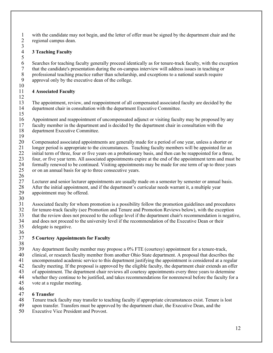1 with the candidate may not begin, and the letter of offer must be signed by the department chair and the regional campus dean. regional campus dean.  $\frac{3}{4}$ 

### <span id="page-11-0"></span>4 **3 Teaching Faculty**

 $\frac{5}{6}$ 6 Searches for teaching faculty generally proceed identically as for tenure-track faculty, with the exception that the candidate's presentation during the on-campus interview will address issues in teaching or 7 that the candidate's presentation during the on-campus interview will address issues in teaching or professional teaching practice rather than scholarship, and exceptions to a national search require 8 professional teaching practice rather than scholarship, and exceptions to a national search require<br>9 approval only by the executive dean of the college. approval only by the executive dean of the college.

#### $\frac{10}{11}$ 11 **4 Associated Faculty** 12

13 The appointment, review, and reappointment of all compensated associated faculty are decided by the department chair in consultation with the department Executive Committee. 14 department chair in consultation with the department Executive Committee. 15

16 Appointment and reappointment of uncompensated adjunct or visiting faculty may be proposed by any<br>17 faculty member in the department and is decided by the department chair in consultation with the 17 faculty member in the department and is decided by the department chair in consultation with the<br>18 department Executive Committee. department Executive Committee.

19

20 Compensated associated appointments are generally made for a period of one year, unless a shorter or 21 Ionger period is appropriate to the circumstances. Teaching faculty members will be appointed for an longer period is appropriate to the circumstances. Teaching faculty members will be appointed for an

- 22 initial term of three, four or five years on a probationary basis, and then can be reappointed for a three,
- 23 four, or five year term. All associated appointments expire at the end of the appointment term and must be  $24$  formally renewed to be continued. Visiting appointments may be made for one term of up to three years 24 formally renewed to be continued. Visiting appointments may be made for one term of up to three years<br>25 or on an annual basis for up to three consecutive years.
- or on an annual basis for up to three consecutive years.
- $\frac{26}{27}$

27 Lecturer and senior lecturer appointments are usually made on a semester by semester or annual basis.<br>28 After the initial appointment, and if the department's curricular needs warrant it, a multiple vear

- 28 After the initial appointment, and if the department's curricular needs warrant it, a multiple year<br>29 appointment may be offered. appointment may be offered.
- $\frac{30}{31}$

31 Associated faculty for whom promotion is a possibility follow the promotion guidelines and procedures<br>32 for tenure-track faculty (see Promotion and Tenure and Promotion Reviews below), with the exception

32 for tenure-track faculty (see Promotion and Tenure and Promotion Reviews below), with the exception<br>33 that the review does not proceed to the college level if the department chair's recommendation is negatively 33 that the review does not proceed to the college level if the department chair's recommendation is negative,<br>34 and does not proceed to the university level if the recommendation of the Executive Dean or their 34 and does not proceed to the university level if the recommendation of the Executive Dean or their<br>35 delegate is negative. delegate is negative.

 $\frac{36}{37}$ 

### <span id="page-11-1"></span>37 **5 Courtesy Appointments for Faculty**

38<br>39

39 Any department faculty member may propose a 0% FTE (courtesy) appointment for a tenure-track,<br>40 clinical, or research faculty member from another Ohio State department. A proposal that describes

40 clinical, or research faculty member from another Ohio State department. A proposal that describes the uncompensated academic service to this department iustifying the appointment is considered at a regula

41 uncompensated academic service to this department justifying the appointment is considered at a regular

42 faculty meeting. If the proposal is approved by the eligible faculty, the department chair extends an offer

43 of appointment. The department chair reviews all courtesy appointments every three years to determine<br>44 whether they continue to be justified, and takes recommendations for nonrenewal before the faculty for

44 whether they continue to be justified, and takes recommendations for nonrenewal before the faculty for a<br>45 vote at a regular meeting.

- vote at a regular meeting.
- 46<br>47

# 47 **6 Transfer**

Tenure track faculty may transfer to teaching faculty if appropriate circumstances exist. Tenure is lost

49 upon transfer. Transfers must be approved by the department chair, the Executive Dean, and the

50 Executive Vice President and Provost.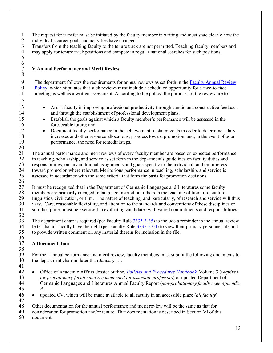- 1 The request for transfer must be initiated by the faculty member in writing and must state clearly how the individual's career goals and activities have changed.
- 
- 2 individual's career goals and activities have changed.<br>3 Transfers from the teaching faculty to the tenure track 3 Transfers from the teaching faculty to the tenure track are not permitted. Teaching faculty members and may apply for tenure track positions and compete in regular national searches for such positions. 4 may apply for tenure track positions and compete in regular national searches for such positions. 5

### <span id="page-12-0"></span>7 **V Annual Performance and Merit Review**

- 9 The department follows the requirements for annual reviews as set forth in the [Faculty Annual Review](http://oaa.osu.edu/assets/files/documents/annualreview.pdf)  10 [Policy,](http://oaa.osu.edu/assets/files/documents/annualreview.pdf) which stipulates that such reviews must include a scheduled opportunity for a face-to-face 11 meeting as well as a written assessment. According to the policy, the purposes of the review are to:
- 12

 $\frac{6}{7}$ 

8

- <sup>13</sup> Assist faculty in improving professional productivity through candid and constructive feedback<br>14 and through the establishment of professional development plans;
- 15 Establish the goals against which a faculty member's performance will be assessed in the 16 foreseeable future; and
- 17 Document faculty performance in the achievement of stated goals in order to determine salary 18 increases and other resource allocations, progress toward promotion, and, in the event of poor 19 performance, the need for remedialsteps.

 $\frac{20}{21}$ 21 The annual performance and merit reviews of every faculty member are based on expected performance<br>22 in teaching, scholarship, and service as set forth in the department's guidelines on faculty duties and 22 in teaching, scholarship, and service as set forth in the department's guidelines on faculty duties and<br>23 responsibilities; on any additional assignments and goals specific to the individual; and on progress 23 responsibilities; on any additional assignments and goals specific to the individual; and on progress toward promotion where relevant. Meritorious performance in teaching, scholarship, and service is toward promotion where relevant. Meritorious performance in teaching, scholarship, and service is 25 assessed in accordance with the same criteria that form the basis for promotion decisions.

- $\frac{26}{27}$ 27 It must be recognized that in the Department of Germanic Languages and Literatures some faculty<br>28 members are primarily engaged in language instruction, others in the teaching of literature, culture, 28 members are primarily engaged in language instruction, others in the teaching of literature, culture,<br>29 linguistics, civilization, or film. The nature of teaching, and particularly, of research and service wi 29 linguistics, civilization, or film. The nature of teaching, and particularly, of research and service will thus<br>30 vary. Care, reasonable flexibility, and attention to the standards and conventions of these disciplines 30 vary. Care, reasonable flexibility, and attention to the standards and conventions of these disciplines or sub-disciplines must be exercised in evaluating candidates with varied commitments and responsibilities
- sub-disciplines must be exercised in evaluating candidates with varied commitments and responsibilities.
- $\frac{32}{33}$ 33 The department chair is required (per Faculty Rule  $\frac{3335-3-35}{3}$ ) to include a reminder in the annual review<br>34 Letter that all faculty have the right (per Faculty Rule 3335-5-04) to view their primary personnel fil letter that all faculty have the right (per Faculty Rule [3335-5-04\)](https://trustees.osu.edu/bylaws-and-rules/3335-5) to view their primary personnel file and 35 to provide written comment on any material therein for inclusion in the file.

#### <span id="page-12-1"></span> $\frac{36}{37}$ 37 **A Documentation** 38

39 For their annual performance and merit review, faculty members must submit the following documents to<br>40 the department chair no later than January 15: the department chair no later than January 15:

- 41
- 42 Office of Academic Affairs dossier outline, *[Policies and Procedures Handbook](https://oaa.osu.edu/policies-and-procedures-handbook)*, Volume 3 (*required*  43 *for probationary faculty and recommended for associate professors*) or updated Department of 44 Germanic Languages and Literatures Annual Faculty Report (*non-probationary faculty; see Appendix*  45 *A*)
- 46 updated CV, which will be made available to all faculty in an accessible place (*all faculty*) 47

48 Other documentation for the annual performance and merit review will be the same as that for<br>49 consideration for promotion and/or tenure. That documentation is described in Section VI of th

49 consideration for promotion and/or tenure. That documentation is described in Section VI of this

50 document.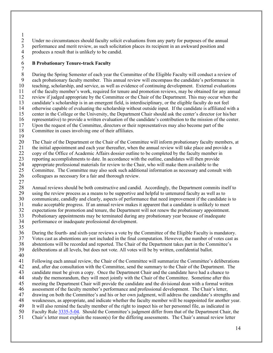$\frac{1}{2}$ 2 Under no circumstances should faculty solicit evaluations from any party for purposes of the annual<br>3 performance and merit review, as such solicitation places its recipient in an awkward position and 3 performance and merit review, as such solicitation places its recipient in an awkward position and produces a result that is unlikely to be candid. produces a result that is unlikely to be candid.

#### <span id="page-13-0"></span> $\frac{5}{6}$ 6 **B Probationary Tenure-track Faculty**

 $7 \over 8$ 8 During the Spring Semester of each year the Committee of the Eligible Faculty will conduct a review of each probationary faculty member. This annual review will encompass the candidate's performance in 9 each probationary faculty member. This annual review will encompass the candidate's performance in teaching, scholarship, and service, as well as evidence of continuing development. External evaluations 10 teaching, scholarship, and service, as well as evidence of continuing development. External evaluations 11 of the faculty member's work, required for tenure and promotion reviews, may be obtained for any annual of the faculty member's work, required for tenure and promotion reviews, may be obtained for any annual 12 review if judged appropriate by the Committee or the Chair of the Department. This may occur when the 13 candidate's scholarship is in an emergent field, is interdisciplinary, or the eligible faculty do not feel<br>14 otherwise capable of evaluating the scholarship without outside input. If the candidate is affiliated w 14 otherwise capable of evaluating the scholarship without outside input. If the candidate is affiliated with a 15 center in the College or the University, the Department Chair should ask the center's director (or his/her 16 representative) to provide a written evaluation of the candidate's contribution to the mission of the center.<br>17 Upon the request of the Committee, directors or their representatives may also become part of the 17 Upon the request of the Committee, directors or their representatives may also become part of the 18 Committee in cases involving one of their affiliates. Committee in cases involving one of their affiliates.

19

20 The Chair of the Department or the Chair of the Committee will inform probationary faculty members, at the initial appointment and each vear thereafter, when the annual review will take place and provide a 21 the initial appointment and each year thereafter, when the annual review will take place and provide a 22 copy of the Office of Academic Affairs dossier outline to be completed by the faculty member in 23 reporting accomplishments to date. In accordance with the outline, candidates will then provide<br>24 appropriate professional materials for review to the Chair, who will make them available to the 24 appropriate professional materials for review to the Chair, who will make them available to the<br>25 Committee. The Committee may also seek such additional information as necessary and consul 25 Committee. The Committee may also seek such additional information as necessary and consult with<br>26 colleagues as necessary for a fair and thorough review. colleagues as necessary for a fair and thorough review.

27

28 Annual reviews should be both constructive and candid. Accordingly, the Department commits itself to using the review process as a means to be supportive and helpful to untenured faculty as well as to 29 using the review process as a means to be supportive and helpful to untenured faculty as well as to<br>30 communicate, candidly and clearly, aspects of performance that need improvement if the candidate 30 communicate, candidly and clearly, aspects of performance that need improvement if the candidate is to<br>31 make acceptable progress. If an annual review makes it apparent that a candidate is unlikely to meet make acceptable progress. If an annual review makes it apparent that a candidate is unlikely to meet 32 expectations for promotion and tenure, the Department will not renew the probationary appointment.<br>33 Probationary appointments may be terminated during any probationary year because of inadequate 33 Probationary appointments may be terminated during any probationary year because of inadequate<br>34 performance or inadequate professional development.

performance or inadequate professional development.

 $\frac{35}{36}$ 36 During the fourth- and sixth-year reviews a vote by the Committee of the Eligible Faculty is mandatory.<br>37 Votes cast as abstentions are not included in the final computation. However, the number of votes cast as Votes cast as abstentions are not included in the final computation. However, the number of votes cast as 38 abstentions will be recorded and reported. The Chair of the Department takes part in the Committee's

- 39 deliberations at all levels, but does not vote. All votes will be by written, confidential ballot.
- $\frac{40}{41}$

41 Following each annual review, the Chair of the Committee will summarize the Committee's deliberations 42 and, after due consultation with the Committee, send the summary to the Chair of the Department. The candidate must be given a copy. Once the Department Chair and the candidate have had a chance to 43 candidate must be given a copy. Once the Department Chair and the candidate have had a chance to<br>44 study the memorandum, they will meet iointly with the Chair of the Committee. Sometime after this study the memorandum, they will meet jointly with the Chair of the Committee. Sometime after this 45 meeting the Department Chair will provide the candidate and the divisional dean with a formal written

- 46 assessment of the faculty member's performance and professional development. The Chair's letter,<br>47 drawing on both the Committee's and his or her own judgment, will address the candidate's strength
- 47 drawing on both the Committee's and his or her own judgment, will address the candidate's strengths and
- 48 weaknesses, as appropriate, and indicate whether the faculty member will be reappointed for another year.
- 49 It will also remind the faculty member of the right to inspect his or her personnel file, as indicated in<br>50 Faculty Rule 3335-5-04. Should the Committee's judgment differ from that of the Department Chair
- 50 Faculty Rule  $\frac{3335-5-04}{2}$ . Should the Committee's judgment differ from that of the Department Chair, the S1 Chair's letter must explain the reason(s) for the differing assessments. The Chair's annual review letter
- 51 Chair's letter must explain the reason(s) for the differing assessments. The Chair's annual review letter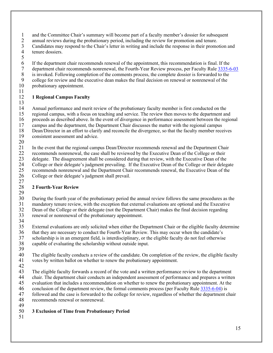1 and the Committee Chair's summary will become part of a faculty member's dossier for subsequent<br>2 annual reviews during the probationary period, including the review for promotion and tenure.

2 annual reviews during the probationary period, including the review for promotion and tenure.<br>3 Candidates may respond to the Chair's letter in writing and include the response in their promo

3 Candidates may respond to the Chair's letter in writing and include the response in their promotion and tenure dossiers.

- tenure dossiers.
- 5

6 If the department chair recommends renewal of the appointment, this recommendation is final. If the department chair recommends nonrenewal, the Fourth-Year Review process, per Faculty Rule 3335-6

- 7 department chair recommends nonrenewal, the Fourth-Year Review process, per Faculty Rule  $\frac{3335-6-03}{8}$  is invoked. Following completion of the comments process, the complete dossier is forwarded to the
- 8 is invoked. Following completion of the comments process, the complete dossier is forwarded to the college for review and the executive dean makes the final decision on renewal or nonrenewal of the 9 college for review and the executive dean makes the final decision on renewal or nonrenewal of the probationary appointment.
- probationary appointment.
- 11

### <span id="page-14-0"></span>12 **1 Regional Campus Faculty**

 $\frac{13}{14}$ 14 Annual performance and merit review of the probationary faculty member is first conducted on the<br>15 regional campus, with a focus on teaching and service. The review then moves to the department an

15 regional campus, with a focus on teaching and service. The review then moves to the department and

- 16 proceeds as described above. In the event of divergence in performance assessment between the regional campus and the department, the Department Chair discusses the matter with the regional campus
- 17 campus and the department, the Department Chair discusses the matter with the regional campus<br>18 Dean/Director in an effort to clarify and reconcile the divergence, so that the faculty member rece 18 Dean/Director in an effort to clarify and reconcile the divergence, so that the faculty member receives consistent assessment and advice.
- consistent assessment and advice.
- $\frac{20}{21}$

21 In the event that the regional campus Dean/Director recommends renewal and the Department Chair

22 recommends nonrenewal, the case shall be reviewed by the Executive Dean of the College or their

23 delegate. The disagreement shall be considered during that review, with the Executive Dean of the College or their delegate's judgment prevailing. If the Executive Dean of the College or their deleg 24 College or their delegate's judgment prevailing. If the Executive Dean of the College or their delegate<br>25 recommends nonrenewal and the Department Chair recommends renewal, the Executive Dean of the

- 25 recommends nonrenewal and the Department Chair recommends renewal, the Executive Dean of the 26 College or their delegate's judgment shall prevail.
- College or their delegate's judgment shall prevail.

### $\frac{27}{28}$ 28 **2 Fourth-Year Review**

<span id="page-14-1"></span> $\frac{29}{30}$ 

30 During the fourth year of the probationary period the annual review follows the same procedures as the mandatory tenure review, with the exception that external evaluations are optional and the Executive

31 mandatory tenure review, with the exception that external evaluations are optional and the Executive<br>32 Dean of the College or their delegate (not the Department Chair) makes the final decision regarding

32 Dean of the College or their delegate (not the Department Chair) makes the final decision regarding<br>33 renewal or nonrenewal of the probationary appointment. renewal or nonrenewal of the probationary appointment.

34

35 External evaluations are only solicited when either the Department Chair or the eligible faculty determine

- 36 that they are necessary to conduct the Fourth-Year Review. This may occur when the candidate's<br>37 scholarship is in an emergent field, is interdisciplinary, or the eligible faculty do not feel otherwise
- scholarship is in an emergent field, is interdisciplinary, or the eligible faculty do not feel otherwise
- 38 capable of evaluating the scholarship without outside input.
- 39<br>40 40 The eligible faculty conducts a review of the candidate. On completion of the review, the eligible faculty votes by written ballot on whether to renew the probationary appointment. votes by written ballot on whether to renew the probationary appointment.
- 42
- 43 The eligible faculty forwards a record of the vote and a written performance review to the department<br>44 chair. The department chair conducts an independent assessment of performance and prepares a writte
- 44 chair. The department chair conducts an independent assessment of performance and prepares a written<br>45 evaluation that includes a recommendation on whether to renew the probationary appointment. At the
- evaluation that includes a recommendation on whether to renew the probationary appointment. At the
- 46 conclusion of the department review, the formal comments process (per Faculty Rule  $\frac{3335-6-04}{3}$ ) is followed and the case is forwarded to the college for review, regardless of whether the department c
- 47 followed and the case is forwarded to the college for review, regardless of whether the department chair<br>48 recommends renewal or nonrenewal. recommends renewal or nonrenewal.
- 
- 49

### <span id="page-14-2"></span>50 **3 Exclusion of Time from Probationary Period**

51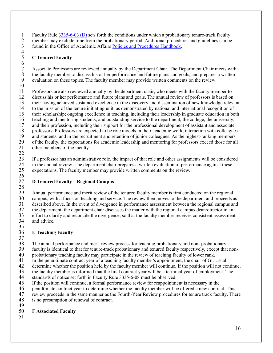1 Faculty Rule  $\frac{3335-6-03}{2}$  (D) sets forth the conditions under which a probationary tenure-track faculty<br>2 member may exclude time from the probationary period. Additional procedures and guidelines can be 2 member may exclude time from the probationary period. Additional procedures and guidelines can be<br>3 found in the Office of Academic Affairs Policies and Procedures Handbook. found in the Office of Academic Affairs [Policies and Procedures](https://oaa.osu.edu/policies-and-procedures-handbook) Handbook.  $\frac{4}{5}$ 

### <span id="page-15-0"></span>5 **C Tenured Faculty**

 $\frac{6}{7}$ 7 Associate Professors are reviewed annually by the Department Chair. The Department Chair meets with<br>8 the faculty member to discuss his or her performance and future plans and goals, and prepares a written 8 the faculty member to discuss his or her performance and future plans and goals, and prepares a written<br>9 evaluation on these topics. The faculty member may provide written comments on the review. evaluation on these topics. The faculty member may provide written comments on the review.

 $\frac{10}{11}$ 

22

11 Professors are also reviewed annually by the department chair, who meets with the faculty member to 12 discuss his or her performance and future plans and goals. The annual review of professors is based on 13 their having achieved sustained excellence in the discovery and dissemination of new knowledge relevant<br>14 to the mission of the tenure initiating unit, as demonstrated by national and international recognition of 14 to the mission of the tenure initiating unit, as demonstrated by national and international recognition of 15 their scholarship; ongoing excellence in teaching, including their leadership in graduate education in both 16 teaching and mentoring students; and outstanding service to the department, the college, the university,<br>17 and their profession, including their support for the professional development of assistant and associate 17 and their profession, including their support for the professional development of assistant and associate<br>18 professors. Professors are expected to be role models in their academic work, interaction with colleagues 18 professors. Professors are expected to be role models in their academic work, interaction with colleagues and students, and in the recruitment and retention of junior colleagues. As the highest-ranking members and students, and in the recruitment and retention of junior colleagues. As the highest-ranking members 20 of the faculty, the expectations for academic leadership and mentoring for professors exceed those for all other members of the faculty. other members of the faculty.

23 If a professor has an administrative role, the impact of that role and other assignments will be considered<br>24 in the annual review. The department chair prepares a written evaluation of performance against these 24 in the annual review. The department chair prepares a written evaluation of performance against these<br>25 expectations. The faculty member may provide written comments on the review. expectations. The faculty member may provide written comments on the review.

#### <span id="page-15-1"></span> $\frac{26}{27}$ 27 **D Tenured Faculty—Regional Campus**

 $\frac{28}{29}$ 29 Annual performance and merit review of the tenured faculty member is first conducted on the regional campus, with a focus on teaching and service. The review then moves to the department and proceeds a 30 campus, with a focus on teaching and service. The review then moves to the department and proceeds as described above. In the event of divergence in performance assessment between the regional campus and 31 described above. In the event of divergence in performance assessment between the regional campus and<br>32 the department, the department chair discusses the matter with the regional campus dean/director in an 32 the department, the department chair discusses the matter with the regional campus dean/director in an effort to clarify and reconcile the divergence, so that the faculty member receives consistent assessment 33 effort to clarify and reconcile the divergence, so that the faculty member receives consistent assessment<br>34 and advice. and advice. 35

### 36 **E Teaching Faculty**

37

38 The annual performance and merit review process for teaching probationary and non- probationary<br>39 faculty is identical to that for tenure-track probationary and tenured faculty respectively, except that

39 faculty is identical to that for tenure-track probationary and tenured faculty respectively, except that non-<br>40 probationary teaching faculty may participate in the review of teaching faculty of lower rank.

40 probationary teaching faculty may participate in the review of teaching faculty of lower rank.<br>41 In the penultimate contract vear of a teaching faculty member's appointment, the chair of GLL In the penultimate contract year of a teaching faculty member's appointment, the chair of GLL shall

42 determine whether the position held by the faculty member will continue. If the position will not continue,

43 the faculty member is informed that the final contract year will be a terminal year of employment. The standards of notice set forth in Faculty Rule 3335-6-08 must be observed.

44 standards of notice set forth in Faculty Rule 3335-6-08 must be observed.<br>45 If the position will continue, a formal performance review for reappointment

- If the position will continue, a formal performance review for reappointment is necessary in the
- 46 penultimate contract year to determine whether the faculty member will be offered a new contract. This<br>47 version proceeds in the same manner as the Fourth-Year Review procedures for tenure track faculty. The

47 review proceeds in the same manner as the Fourth-Year Review procedures for tenure track faculty. There is no presumption of renewal of contract.

is no presumption of renewal of contract.

49

### <span id="page-15-2"></span>50 **F Associated Faculty**

51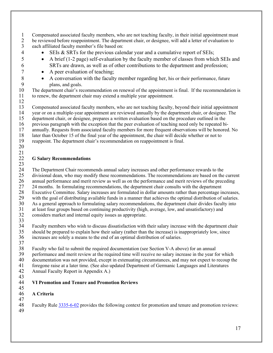- 1 Compensated associated faculty members, who are not teaching faculty, in their initial appointment must<br>2 be reviewed before reappointment. The department chair, or designee, will add a letter of evaluation to 2 be reviewed before reappointment. The department chair, or designee, will add a letter of evaluation to each affiliated faculty member's file based on:
- each affiliated faculty member's file based on:
- 4 SEIs & SRTs for the previous calendar year and a cumulative report of SEIs;
- 5 A brief (1-2 page) self-evaluation by the faculty member of classes from which SEIs and 6 SRTs are drawn, as well as of other contributions to the department and profession;
- 7 A peer evaluation of teaching;
- 8 A conversation with the faculty member regarding her, his or their performance, future 9 plans, and goals.

10 The department chair's recommendation on renewal of the appointment is final. If the recommendation is 11 to renew, the department chair may extend a multiple year appointment.

12

13 Compensated associated faculty members, who are not teaching faculty, beyond their initial appointment<br>14 vear or on a multiple-year appointment are reviewed annually by the department chair, or designee. The 14 year or on a multiple-year appointment are reviewed annually by the department chair, or designee. The department chair, or designee, prepares a written evaluation based on the procedure outlined in the

15 department chair, or designee, prepares a written evaluation based on the procedure outlined in the previous paragraph with the exception that the peer evaluation of teaching need only be repeated bi-16 previous paragraph with the exception that the peer evaluation of teaching need only be repeated bi-

- 
- 17 annually. Requests from associated faculty members for more frequent observations will be honored. No<br>18 later than October 15 of the final vear of the appointment, the chair will decide whether or not to 18 later than October 15 of the final year of the appointment, the chair will decide whether or not to<br>19 reappoint. The department chair's recommendation on reappointment is final.
- reappoint. The department chair's recommendation on reappointment is final.
- 20 21

### <span id="page-16-0"></span>22 **G Salary Recommendations**

 $\frac{23}{24}$ 

24 The Department Chair recommends annual salary increases and other performance rewards to the 25 divisional dean, who may modify these recommendations. The recommendations are based on the current

26 annual performance and merit review as well as on the performance and merit reviews of the preceding 27 24 months. In formulating recommendations, the department chair consults with the department 27 24 months. In formulating recommendations, the department chair consults with the department<br>28 Executive Committee. Salary increases are formulated in dollar amounts rather than percentage in

Executive Committee. Salary increases are formulated in dollar amounts rather than percentage increases,

29 with the goal of distributing available funds in a manner that achieves the optimal distribution of salaries.<br>20 As a general approach to formulating salary recommendations, the department chair divides faculty into

30 As a general approach to formulating salary recommendations, the department chair divides faculty into<br>31 at least four groups based on continuing productivity (high, average, low, and unsatisfactory) and

at least four groups based on continuing productivity (high, average, low, and unsatisfactory) and 32 considers market and internal equity issues as appropriate.

33<br>34 34 Faculty members who wish to discuss dissatisfaction with their salary increase with the department chair<br>35 should be prepared to explain how their salary (rather than the increase) is inappropriately low, since 35 should be prepared to explain how their salary (rather than the increase) is inappropriately low, since increases are solely a means to the end of an optimal distribution of salaries.

- increases are solely a means to the end of an optimal distribution of salaries.
- 37

38 Faculty who fail to submit the required documentation (see Section V-A above) for an annual

39 performance and merit review at the required time will receive no salary increase in the year for which<br>40 documentation was not provided, except in extenuating circumstances, and may not expect to recoup the

40 documentation was not provided, except in extenuating circumstances, and may not expect to recoup the<br>41 foregone raise at a later time. (See also updated Department of Germanic Languages and Literatures

- 41 foregone raise at a later time. (See also updated Department of Germanic Languages and Literatures Annual Faculty Report in Appendix A.)
- 43

#### <span id="page-16-1"></span>44 **VI Promotion and Tenure and Promotion Reviews** 45

<span id="page-16-2"></span>46 **A Criteria** 47

48 Faculty Rule [3335-6-02](https://trustees.osu.edu/bylaws-and-rules/3335-6) provides the following context for promotion and tenure and promotion reviews: 49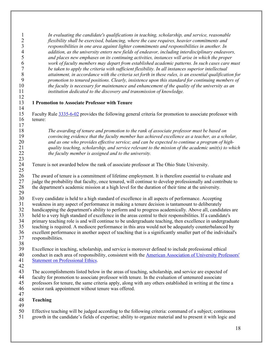<span id="page-17-0"></span>1 *In evaluating the candidate's qualifications in teaching, scholarship, and service, reasonable*  2 *flexibility shall be exercised, balancing, where the case requires, heavier commitments and*  3 *responsibilities in one area against lighter commitments and responsibilities in another. In*  4 *addition, as the university enters new fields of endeavor, including interdisciplinary endeavors,*  5 *and places new emphases on its continuing activities, instances will arise in which the proper*  6 *work of faculty members may depart from established academic patterns. In such cases care must*  7 *be taken to apply the criteria with sufficient flexibility. In all instances superior intellectual*  8 *attainment, in accordance with the criteria set forth in these rules, is an essential qualification for*  9 *promotion to tenured positions. Clearly, insistence upon this standard for continuing members of*  10 *the faculty is necessary for maintenance and enhancement of the quality of the university as an*  institution dedicated to the discovery and transmission of knowledge. 12 13 **1 Promotion to Associate Professor with Tenure**  $\frac{14}{15}$ 15 Faculty Rule [3335-6-02](https://trustees.osu.edu/bylaws-and-rules/3335-6) provides the following general criteria for promotion to associate professor with 16 tenure:  $\frac{17}{18}$ 18 *The awarding of tenure and promotion to the rank of associate professor must be based on*  19 *convincing evidence that the faculty member has achieved excellence as a teacher, as a scholar,*  20 *and as one who provides effective service; and can be expected to continue a program of high-*21 *quality teaching, scholarship, and service relevant to the mission of the academic unit(s) to which*  22 *the faculty member is assigned and to the university.*  $\frac{23}{24}$ Tenure is not awarded below the rank of associate professor at The Ohio State University.  $\frac{25}{26}$ 26 The award of tenure is a commitment of lifetime employment. It is therefore essential to evaluate and<br>27 judge the probability that faculty, once tenured, will continue to develop professionally and contribute 27 judge the probability that faculty, once tenured, will continue to develop professionally and contribute to<br>28 the department's academic mission at a high level for the duration of their time at the university. 28 the department's academic mission at a high level for the duration of their time at the university.  $\frac{29}{30}$ 30 Every candidate is held to a high standard of excellence in all aspects of performance. Accepting 31 weakness in any aspect of performance in making a tenure decision is tantamount to deliberately<br>32 handicapping the department's ability to perform and to progress academically. Above all, candid 32 handicapping the department's ability to perform and to progress academically. Above all, candidates are<br>33 held to a very high standard of excellence in the areas central to their responsibilities. If a candidate's 33 held to a very high standard of excellence in the areas central to their responsibilities. If a candidate's<br>34 primary teaching role is and will continue to be undergraduate teaching, then excellence in undergrad 34 primary teaching role is and will continue to be undergraduate teaching, then excellence in undergraduate teaching is required. A mediocre performance in this area would not be adequately counterbalanced by 35 teaching is required. A mediocre performance in this area would not be adequately counterbalanced by 36 excellent performance in another aspect of teaching that is a significantly smaller part of the individual's responsibilities. 38<br>39 39 Excellence in teaching, scholarship, and service is moreover defined to include professional ethical<br>40 conduct in each area of responsibility, consistent with the American Association of University Profe 40 conduct in each area of responsibility, consistent with the American Association of University Professors'<br>41 Statement on Professional Ethics. [Statement on Professional Ethics.](https://www.aaup.org/report/statement-professional-ethics) 42 43 The accomplishments listed below in the areas of teaching, scholarship, and service are expected of faculty for promotion to associate professor with tenure. In the evaluation of untenured associate 44 faculty for promotion to associate professor with tenure. In the evaluation of untenured associate<br>45 professors for tenure, the same criteria apply, along with any others established in writing at the t 45 professors for tenure, the same criteria apply, along with any others established in writing at the time a 46 senior rank appointment without tenure was offered.  $\frac{47}{48}$ 48 **Teaching** 49 50 Effective teaching will be judged according to the following criteria: command of a subject; continuous 51 growth in the candidate's fields of expertise; ability to organize material and to present it with logic and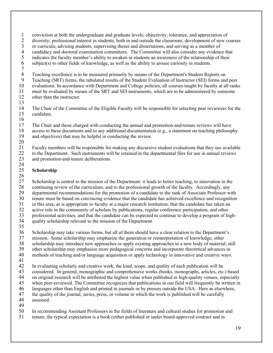- 1 conviction at both the undergraduate and graduate levels; objectivity, tolerance, and appreciation of diversity; professional interest in students, both in and outside the classroom; development of new c 2 diversity; professional interest in students, both in and outside the classroom; development of new courses or curricula; advising students, supervising theses and dissertations, and serving as a member of 3 or curricula; advising students, supervising theses and dissertations, and serving as a member of candidacy and doctoral examination committees. The Committee will also consider any evidence 4 candidacy and doctoral examination committees. The Committee will also consider any evidence that<br>5 indicates the faculty member's ability to awaken in students an awareness of the relationship of their
- 5 indicates the faculty member's ability to awaken in students an awareness of the relationship of their<br>6 subject(s) to other fields of knowledge, as well as the ability to arouse curiosity in students.  $subject(s)$  to other fields of knowledge, as well as the ability to arouse curiosity in students.
	-

 $7 \over 8$ 8 Teaching excellence is to be measured primarily by means of the Department's Student Reports on<br>9 Teaching (SRT) forms, the tabulated results of the Student Evaluation of Instructor (SEI) forms and

9 Teaching (SRT) forms, the tabulated results of the Student Evaluation of Instructor (SEI) forms and peer<br>10 evaluations. In accordance with Department and College policies, all courses taught by faculty at all rank

10 evaluations. In accordance with Department and College policies, all courses taught by faculty at all ranks<br>11 must be evaluated by means of the SRT and SEI instruments, which are to be administered by someone must be evaluated by means of the SRT and SEI instruments, which are to be administered by someone

12 other than the instructor.

 $\frac{13}{14}$ 14 The Chair of the Committee of the Eligible Faculty will be responsible for selecting peer reviewers for the candidate. candidate.

 $\frac{16}{17}$ 17 The Chair and those charged with conducting the annual and promotion-and-tenure reviews will have<br>18 access to these documents and to any additional documentation (e.g., a statement on teaching philosop 18 access to these documents and to any additional documentation (e.g., a statement on teaching philosophy and objectives) that may be helpful in conducting the review. and objectives) that may be helpful in conducting the review.

 $\frac{20}{21}$  Faculty members will be responsible for making any discursive student evaluations that they use available to the Department. Such instruments will be retained in the departmental files for use in annual reviews and promotion-and-tenure deliberations.

### $\frac{24}{25}$ **Scholarship**

 $\frac{26}{27}$ 27 Scholarship is central to the mission of the Department: it leads to better teaching, to innovation in the<br>28 continuing review of the curriculum, and to the professional growth of the faculty. Accordingly, any 28 continuing review of the curriculum, and to the professional growth of the faculty. Accordingly, any<br>29 departmental recommendations for the promotion of a candidate to the rank of Associate Professor w 29 departmental recommendations for the promotion of a candidate to the rank of Associate Professor with<br>30 tenure must be based on convincing evidence that the candidate has achieved excellence and recognition 30 tenure must be based on convincing evidence that the candidate has achieved excellence and recognition<br>31 in this area, as is appropriate to faculty at a major research institution; that the candidate has taken an 31 in this area, as is appropriate to faculty at a major research institution; that the candidate has taken an active role in the community of scholars by publications, regular conference participation, and other 32 active role in the community of scholars by publications, regular conference participation, and other<br>33 professional activities; and that the candidate can be expected to continue to develop a program of hi 33 professional activities; and that the candidate can be expected to continue to develop a program of high-<br>34 quality scholarship relevant to the mission of the Department. quality scholarship relevant to the mission of the Department. 35

- 36 Scholarship may take various forms, but all of them should have a clear relation to the Department's<br>37 mission. Some scholarship may emphasize the generation or reinterpretation of knowledge; other mission. Some scholarship may emphasize the generation or reinterpretation of knowledge; other
- 38 scholarship may introduce new approaches or apply existing approaches to a new body of material; still<br>39 other scholarship may emphasize more pedagogical concerns and incorporate theoretical advances in 39 other scholarship may emphasize more pedagogical concerns and incorporate theoretical advances in<br>40 methods of teaching and/or language acquisition or apply technology in innovative and creative ways
- methods of teaching and/or language acquisition or apply technology in innovative and creative ways.
- 41

42 In evaluating scholarly and creative work, the kind, scope, and quality of each publication will be

43 considered. In general, monographic and comprehensive works (books, monographs, articles, etc.) based<br>44 on original research will be attributed the highest value when published in high-quality venues, especially 44 on original research will be attributed the highest value when published in high-quality venues, especially<br>45 when peer-reviewed. The Committee recognizes that publications in our field will frequently be written in

when peer-reviewed. The Committee recognizes that publications in our field will frequently be written in

- 46 languages other than English and printed in journals or by presses outside the USA. Here as elsewhere,<br>47 the quality of the journal, series, press, or volume in which the work is published will be carefully
- 47 the quality of the journal, series, press, or volume in which the work is published will be carefully assessed. assessed.
- 49
- 50 In recommending Assistant Professors in the fields of literature and cultural studies for promotion and
- 51 tenure, the typical expectation is a book (either published or under board-approved contract and in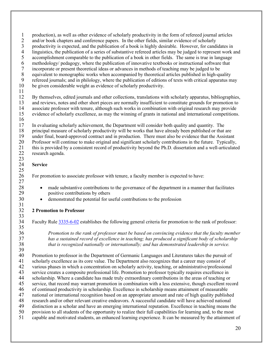1 production), as well as other evidence of scholarly productivity in the form of refereed journal articles<br>2 and/or book chapters and conference papers. In the other fields, similar evidence of scholarly

- 2 and/or book chapters and conference papers. In the other fields, similar evidence of scholarly<br>3 productivity is expected, and the publication of a book is highly desirable. However, for candi
- 3 productivity is expected, and the publication of a book is highly desirable. However, for candidates in linguistics, the publication of a series of substantive refereed articles may be judged to represent work a
- 4 linguistics, the publication of a series of substantive refereed articles may be judged to represent work and<br>5 accomplishment comparable to the publication of a book in other fields. The same is true in language
- 5 accomplishment comparable to the publication of a book in other fields. The same is true in language methodology/ pedagogy, where the publication of innovative textbooks or instructional software that
- 6 methodology/ pedagogy, where the publication of innovative textbooks or instructional software that<br>7 incorporate or present theoretical ideas or advances in methods of teaching may be judged to be
- 7 incorporate or present theoretical ideas or advances in methods of teaching may be judged to be 8 equivalent to monographic works when accompanied by theoretical articles published in high-quality<br>9 refereed iournals: and in philology, where the publication of editions of texts with critical apparatus m
- 9 refereed journals; and in philology, where the publication of editions of texts with critical apparatus may<br>10 be given considerable weight as evidence of scholarly productivity.
- be given considerable weight as evidence of scholarly productivity.
- 11

12 By themselves, edited journals and other collections, translations with scholarly apparatus, bibliographies, 13 and reviews, notes and other short pieces are normally insufficient to constitute grounds for promotion to<br>14 associate professor with tenure, although such works in combination with original research may provide associate professor with tenure, although such works in combination with original research may provide 15 evidence of scholarly excellence, as may the winning of grants in national and international competitions.

 $\frac{23}{24}$ 

 $\frac{25}{26}$ 

27

31

33<br>34

 $\frac{35}{36}$ 

 $\frac{16}{17}$ 17 In evaluating scholarly achievement, the Department will consider both quality and quantity. The principal measure of scholarly productivity will be works that have already been published or that 18 principal measure of scholarly productivity will be works that have already been published or that are

19 under final, board-approved contract and in production. There must also be evidence that the Assistant

20 Professor will continue to make original and significant scholarly contributions in the future. Typically,<br>21 this is provided by a consistent record of productivity beyond the Ph.D. dissertation and a well-articulate 21 this is provided by a consistent record of productivity beyond the Ph.D. dissertation and a well-articulated 22 research agenda.

### **Service**

26 For promotion to associate professor with tenure, a faculty member is expected to have:

- 28 made substantive contributions to the governance of the department in a manner that facilitates 29 positive contributions by others
- 30 demonstrated the potential for useful contributions to the profession

## 32 **2 Promotion to Professor**

<span id="page-19-0"></span>Faculty Rule [3335-6-02](https://trustees.osu.edu/bylaws-and-rules/3335-6) establishes the following general criteria for promotion to the rank of professor:

36 *Promotion to the rank of professor must be based on convincing evidence that the faculty member*  37 *has a sustained record of excellence in teaching; has produced a significant body of scholarship*  38 *that is recognized nationally or internationally; and has demonstrated leadership in service.*

39<br>40 40 Promotion to professor in the Department of Germanic Languages and Literatures takes the pursuit of scholarly excellence as its core value. The Department also recognizes that a career may consist of scholarly excellence as its core value. The Department also recognizes that a career may consist of

- 42 various phases in which a concentration on scholarly activity, teaching, or administrative/professional<br>43 service creates a composite professional life. Promotion to professor typically requires excellence in service creates a composite professional life. Promotion to professor typically requires excellence in
- 44 scholarship. Where a candidate has made truly extraordinary contributions in the areas of teaching or 45 service, that record may warrant promotion in combination with a less extensive, though excellent record
- 
- 46 of continued productivity in scholarship. Excellence in scholarship means attainment of measurable<br>47 national or international recognition based on an appropriate amount and rate of high quality publish
- 47 national or international recognition based on an appropriate amount and rate of high quality published<br>48 research and/or other relevant creative endeavors. A successful candidate will have achieved national research and/or other relevant creative endeavors. A successful candidate will have achieved national
- 49 distinction as a scholar and have an emerging international reputation. Excellence in teaching means the
- 50 provision to all students of the opportunity to realize their full capabilities for learning and, to the most
- 51 capable and motivated students, an enhanced learning experience. It can be measured by the attainment of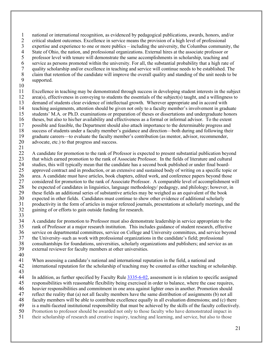1 national or international recognition, as evidenced by pedagogical publications, awards, honors, and/or critical student outcomes. Excellence in service means the provision of a high level of professional

2 critical student outcomes. Excellence in service means the provision of a high level of professional<br>3 expertise and experience to one or more publics – including the university, the Columbus communi

3 expertise and experience to one or more publics – including the university, the Columbus community, the State of Ohio, the nation, and professional organizations. External hires at the associate professor or

4 State of Ohio, the nation, and professional organizations. External hires at the associate professor or<br>5 professor level with tenure will demonstrate the same accomplishments in scholarship, teaching and 5 professor level with tenure will demonstrate the same accomplishments in scholarship, teaching and

6 service as persons promoted within the university. For all, the substantial probability that a high rate of quality scholarship and/or excellence in teaching and service will continue needs to be established. The

- 7 quality scholarship and/or excellence in teaching and service will continue needs to be established. The claim that retention of the candidate will improve the overall quality and standing of the unit needs to be 8 claim that retention of the candidate will improve the overall quality and standing of the unit needs to be supported.
- supported.
- $\frac{10}{11}$

Excellence in teaching may be demonstrated through success in developing student interests in the subject 12 area(s), effectiveness in conveying to students the essentials of the subject(s) taught, and a willingness to 13 demand of students clear evidence of intellectual growth. Wherever appropriate and in accord with<br>14 teaching assignments, attention should be given not only to a faculty member's involvement in grad 14 teaching assignments, attention should be given not only to a faculty member's involvement in graduate 15 students' M.A. or Ph.D. examinations or preparation of theses or dissertations and undergraduate honors

16 theses, but also to his/her availability and effectiveness as a formal or informal advisor. To the extent possible and feasible, the Department should also attach importance to the determinable progress and

17 possible and feasible, the Department should also attach importance to the determinable progress and<br>18 success of students under a faculty member's guidance and direction—both during and following their success of students under a faculty member's guidance and direction—both during and following their

- 19 graduate careers—to evaluate the faculty member's contribution (as mentor, advisor, recommender,
- 20 advocate, etc.) to that progress and success.
- 21

22 A candidate for promotion to the rank of Professor is expected to present substantial publication beyond

23 that which earned promotion to the rank of Associate Professor. In the fields of literature and cultural<br>24 studies, this will typically mean that the candidate has a second book published or under final board-

24 studies, this will typically mean that the candidate has a second book published or under final board-<br>25 approved contract and in production, or an extensive and sustained body of writing on a specific topic

25 approved contract and in production, or an extensive and sustained body of writing on a specific topic or area. A candidate must have articles, book chapters, edited work, and conference papers beyond those

26 area. A candidate must have articles, book chapters, edited work, and conference papers beyond those<br>27 considered for promotion to the rank of Associate Professor. A comparable level of accomplishment v considered for promotion to the rank of Associate Professor. A comparable level of accomplishment will

28 be expected of candidates in linguistics, language methodology/ pedagogy, and philology; however, in these fields an additional series of substantive articles may be weighed as an equivalent of the book 29 these fields an additional series of substantive articles may be weighed as an equivalent of the book<br>30 expected in other fields. Candidates must continue to show other evidence of additional scholarly

30 expected in other fields. Candidates must continue to show other evidence of additional scholarly<br>31 productivity in the form of articles in major refereed journals, presentations at scholarly meetings,

31 productivity in the form of articles in major refereed journals, presentations at scholarly meetings, and the gaining of or efforts to gain outside funding for research.

- gaining of or efforts to gain outside funding for research.
- $\frac{33}{34}$

34 A candidate for promotion to Professor must also demonstrate leadership in service appropriate to the 35 rank of Professor at a major research institution. This includes guidance of student research, effective

36 service on departmental committees, service on College and University committees, and service beyond<br>37 the University–such as work with professional organizations in the candidate's field; professional 37 the University–such as work with professional organizations in the candidate's field; professional

38 consultantships for foundations, universities, scholarly organizations and publishers; and service as an external reviewer for faculty members at other universities.

- external reviewer for faculty members at other universities.
- $\frac{40}{41}$

When assessing a candidate's national and international reputation in the field, a national and

42 international reputation for the scholarship of teaching may be counted as either teaching or scholarship.

43

In addition, as further specified by Faculty Rule [3335-6-02,](https://trustees.osu.edu/bylaws-and-rules/3335-6) assessment is in relation to specific assigned

45 responsibilities with reasonable flexibility being exercised in order to balance, where the case requires,

46 heavier responsibilities and commitment in one area against lighter ones in another. Promotion should<br>47 effect the reality that (a) not all faculty members have the same distribution of assignments (b) not all

47 reflect the reality that (a) not all faculty members have the same distribution of assignments (b) not all<br>48 faculty members will be able to contribute excellence equally in all evaluation dimensions; and (c) then

faculty members will be able to contribute excellence equally in all evaluation dimensions; and (c) there

49 is a multi-faceted institutional responsibility that must be achieved by the skills of the faculty collectively.

50 Promotion to professor should be awarded not only to those faculty who have demonstrated impact in 51 their scholarship of research and creative inquiry, teaching and learning, and service, but also to those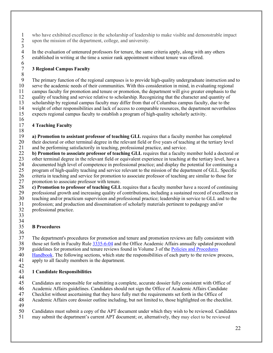1 who have exhibited excellence in the scholarship of leadership to make visible and demonstrable impact<br>2 upon the mission of the department, college, and university. upon the mission of the department, college, and university.  $\frac{3}{4}$ 

4 In the evaluation of untenured professors for tenure, the same criteria apply, along with any others established in writing at the time a senior rank appointment without tenure was offered. 5 established in writing at the time a senior rank appointment without tenure was offered.

### <span id="page-21-0"></span>7 **3 Regional Campus Faculty**

8 9 The primary function of the regional campuses is to provide high-quality undergraduate instruction and to<br>10 serve the academic needs of their communities. With this consideration in mind, in evaluating regional 10 serve the academic needs of their communities. With this consideration in mind, in evaluating regional campus faculty for promotion and tenure or promotion, the department will give greater emphasis to the campus faculty for promotion and tenure or promotion, the department will give greater emphasis to the 12 quality of teaching and service relative to scholarship. Recognizing that the character and quantity of 13 scholarship by regional campus faculty may differ from that of Columbus campus faculty, due to the<br>14 weight of other responsibilities and lack of access to comparable resources, the department neverthele weight of other responsibilities and lack of access to comparable resources, the department nevertheless 15 expects regional campus faculty to establish a program of high-quality scholarly activity.

#### $\frac{16}{17}$ 17 **4 Teaching Faculty**

 $\frac{18}{19}$ 19 **a) Promotion to assistant professor of teaching GLL** requires that a faculty member has completed 20 their doctoral or other terminal degree in the relevant field or five years of teaching at the tertiary level<br>21 and be performing satisfactorily in teaching, professional practice, and service. and be performing satisfactorily in teaching, professional practice, and service.

22 **b) Promotion to associate professor of teaching GLL** requires that a faculty member hold a doctoral or 23 other terminal degree in the relevant field or equivalent experience in teaching at the tertiary level, have a<br>24 documented high level of competence in professional practice; and display the potential for continuing a 24 documented high level of competence in professional practice; and display the potential for continuing a<br>25 program of high-quality teaching and service relevant to the mission of the department of GLL. Specific 25 program of high-quality teaching and service relevant to the mission of the department of GLL. Specific<br>26 criteria in teaching and service for promotion to associate professor of teaching are similar to those for 26 criteria in teaching and service for promotion to associate professor of teaching are similar to those for<br>27 promotion to associate professor with tenure.

promotion to associate professor with tenure.

28 **c) Promotion to professor of teaching GLL** requires that a faculty member have a record of continuing professional growth and increasing quality of contributions, including a sustained record of excellence in 29 professional growth and increasing quality of contributions, including a sustained record of excellence in<br>30 teaching and/or practicum supervision and professional practice; leadership in service to GLL and to the 30 teaching and/or practicum supervision and professional practice; leadership in service to GLL and to the profession; and production and dissemination of scholarly materials pertinent to pedagogy and/or 31 profession; and production and dissemination of scholarly materials pertinent to pedagogy and/or professional practice.

- professional practice.
- 33

 $\frac{6}{7}$ 

#### <span id="page-21-1"></span>34<br>35 35 **B Procedures**

 $\frac{36}{37}$ 

The department's procedures for promotion and tenure and promotion reviews are fully consistent with 38 those set forth in Faculty Rul[e 3335-6-04](https://trustees.osu.edu/bylaws-and-rules/3335-6) and the Office Academic Affairs annually updated procedural<br>39 guidelines for promotion and tenure reviews found in Volume 3 of the Policies and Procedures

39 guidelines for promotion and tenure reviews found in Volume 3 of the Policies and Procedures<br>40 Handbook. The following sections, which state the responsibilities of each party to the review r

- 40 [Handbook.](https://oaa.osu.edu/policies-and-procedures-handbook) The following sections, which state the responsibilities of each party to the review process, 41 apply to all faculty members in the department. apply to all faculty members in the department.
- 42

### <span id="page-21-2"></span>43 **1 Candidate Responsibilities**

44<br>45

45 Candidates are responsible for submitting a complete, accurate dossier fully consistent with Office of

46 Academic Affairs guidelines. Candidates should not sign the Office of Academic Affairs Candidate<br>47 Checklist without ascertaining that they have fully met the requirements set forth in the Office of

47 Checklist without ascertaining that they have fully met the requirements set forth in the Office of Academic Affairs core dossier outline including, but not limited to, those highlighted on the check

- 48 Academic Affairs core dossier outline including, but not limited to, those highlighted on the checklist.
- 49

50 Candidates must submit a copy of the APT document under which they wish to be reviewed. Candidates

51 may submit the department's current APT document; or, alternatively, they may elect to be reviewed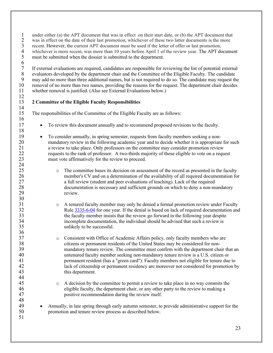1 under either (a) the APT document that was in effect on their start date, or (b) the APT document that<br>2 was in effect on the date of their last promotion, whichever of these two latter documents is the more

2 was in effect on the date of their last promotion, whichever of these two latter documents is the more recent. However, the current APT document must be used if the letter of offer or last promotion,

3 recent. However, the current APT document must be used if the letter of offer or last promotion, whichever is more recent, was more than 10 years before April 1 of the review year. The APT document

 $\begin{array}{c} 4 \\ 5 \\ 6 \\ 7 \end{array}$ 

must be submitted when the dossier is submitted to the department.

7 If external evaluations are required, candidates are responsible for reviewing the list of potential external 8 evaluators developed by the department chair and the Committee of the Eligible Faculty. The candidate may neguest the Solutional names, but is not required to do so. The candidate may request the solutional names were st 9 may add no more than three additional names, but is not required to do so. The candidate may request the removal of no more than two names, providing the reasons for the request. The department chair decides 10 removal of no more than two names, providing the reasons for the request. The department chair decides 11 whether removal is justified. (Also see External Evaluations below.)

#### $\frac{12}{13}$ 13 **2 Committee of the Eligible Faculty Responsibilities**

 $\frac{14}{15}$ 

16

18

24

30

 $\frac{36}{37}$ 

44<br>45

48

51

<span id="page-22-0"></span>The responsibilities of the Committee of the Eligible Faculty are as follows:

- 17 To review this document annually and to recommend proposed revisions to the faculty.
- 19 To consider annually, in spring semester, requests from faculty members seeking a non-<br>20 **•** To consider annually, in spring semester, requests from faculty members seeking a non-<br>20 20 mandatory review in the following academic year and to decide whether it is appropriate for such<br>21 a review to take place. Only professors on the committee may consider promotion review 21 a review to take place. Only professors on the committee may consider promotion review<br>22 requests to the rank of professor. A two-thirds majority of those eligible to vote on a requ 22 requests to the rank of professor. A two-thirds majority of those eligible to vote on a request 23 must vote affirmatively for the review to proceed.
- 25 o The committee bases its decision on assessment of the record as presented in the faculty<br>26 member's CV and on a determination of the availability of all required documentation fo 26 member's CV and on a determination of the availability of all required documentation for 27 a full review (student and peer evaluations of teaching). Lack of the required 28 documentation is necessary and sufficient grounds on which to deny a non-mandatory<br>29 review.
- 31 o A tenured faculty member may only be denied a formal promotion review under Faculty<br>32 Rule 3335-6-04 for one vear. If the denial is based on lack of required documentation and 32 Rule [3335-6-04](https://trustees.osu.edu/bylaws-and-rules/3335-6) for one year. If the denial is based on lack of required documentation and 33 the faculty member insists that the review go forward in the following year despite<br>34 incomplete documentation, the individual should be advised that such a review is incomplete documentation, the individual should be advised that such a review is 35 unlikely to be successful.
- 37 consistent with Office of Academic Affairs policy, only faculty members who are<br>38 citizens or permanent residents of the United States may be considered for non-38 citizens or permanent residents of the United States may be considered for non-39 mandatory tenure review. The committee must confirm with the department chair that an untenured faculty member seeking non-mandatory tenure review is a U.S. citizen or untenured faculty member seeking non-mandatory tenure review is a U.S. citizen or 41 permanent resident (has a "green card"). Faculty members not eligible for tenure due to 42 lack of citizenship or permanent residency are moreover not considered for promotion by 43 this department.
- 45 o A decision by the committee to permit a review to take place in no way commits the eligible faculty, the department chair, or any other party to the review to making a eligible faculty, the department chair, or any other party to the review to making a 47 positive recommendation during the review itself.
- 49 Annually, in late spring through early autumn semester, to provide administrative support for the 50 promotion and tenure review process as described below.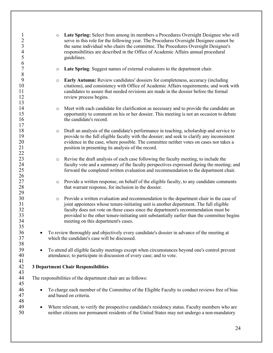<span id="page-23-0"></span>

| $\mathbf{1}$<br>$\overline{2}$<br>$\overline{\mathbf{3}}$<br>$\overline{4}$<br>5<br>6 |           | $\circ$ | <b>Late Spring:</b> Select from among its members a Procedures Oversight Designee who will<br>serve in this role for the following year. The Procedures Oversight Designee cannot be<br>the same individual who chairs the committee. The Procedures Oversight Designee's<br>responsibilities are described in the Office of Academic Affairs annual procedural<br>guidelines.                                |
|---------------------------------------------------------------------------------------|-----------|---------|---------------------------------------------------------------------------------------------------------------------------------------------------------------------------------------------------------------------------------------------------------------------------------------------------------------------------------------------------------------------------------------------------------------|
| $\overline{7}$<br>8                                                                   |           | $\circ$ | Late Spring: Suggest names of external evaluators to the department chair.                                                                                                                                                                                                                                                                                                                                    |
| 9<br>10<br>11<br>12<br>13                                                             |           | $\circ$ | Early Autumn: Review candidates' dossiers for completeness, accuracy (including<br>citations), and consistency with Office of Academic Affairs requirements; and work with<br>candidates to assure that needed revisions are made in the dossier before the formal<br>review process begins.                                                                                                                  |
| 14<br>15<br>16<br>17                                                                  |           | $\circ$ | Meet with each candidate for clarification as necessary and to provide the candidate an<br>opportunity to comment on his or her dossier. This meeting is not an occasion to debate<br>the candidate's record.                                                                                                                                                                                                 |
| 18<br>19<br>20<br>21<br>22                                                            |           | $\circ$ | Draft an analysis of the candidate's performance in teaching, scholarship and service to<br>provide to the full eligible faculty with the dossier; and seek to clarify any inconsistent<br>evidence in the case, where possible. The committee neither votes on cases nor takes a<br>position in presenting its analysis of the record.                                                                       |
| 23<br>24<br>25<br>26                                                                  |           | $\circ$ | Revise the draft analysis of each case following the faculty meeting, to include the<br>faculty vote and a summary of the faculty perspectives expressed during the meeting; and<br>forward the completed written evaluation and recommendation to the department chair.                                                                                                                                      |
| 27<br>28                                                                              |           | $\circ$ | Provide a written response, on behalf of the eligible faculty, to any candidate comments<br>that warrant response, for inclusion in the dossier.                                                                                                                                                                                                                                                              |
| 29<br>30<br>31<br>32<br>33<br>34<br>35                                                |           | $\circ$ | Provide a written evaluation and recommendation to the department chair in the case of<br>joint appointees whose tenure-initiating unit is another department. The full eligible<br>faculty does not vote on these cases since the department's recommendation must be<br>provided to the other tenure-initiating unit substantially earlier than the committee begins<br>meeting on this department's cases. |
| 36<br>37<br>38                                                                        |           |         | To review thoroughly and objectively every candidate's dossier in advance of the meeting at<br>which the candidate's case will be discussed.                                                                                                                                                                                                                                                                  |
| 39<br>40<br>41                                                                        | $\bullet$ |         | To attend all eligible faculty meetings except when circumstances beyond one's control prevent<br>attendance; to participate in discussion of every case; and to vote.                                                                                                                                                                                                                                        |
| 42<br>43                                                                              |           |         | <b>3 Department Chair Responsibilities</b>                                                                                                                                                                                                                                                                                                                                                                    |
| 44<br>45                                                                              |           |         | The responsibilities of the department chair are as follows:                                                                                                                                                                                                                                                                                                                                                  |
| 46<br>47<br>48                                                                        |           |         | To charge each member of the Committee of the Eligible Faculty to conduct reviews free of bias<br>and based on criteria.                                                                                                                                                                                                                                                                                      |
| 49<br>50                                                                              | $\bullet$ |         | Where relevant, to verify the prospective candidate's residency status. Faculty members who are<br>neither citizens nor permanent residents of the United States may not undergo a non-mandatory                                                                                                                                                                                                              |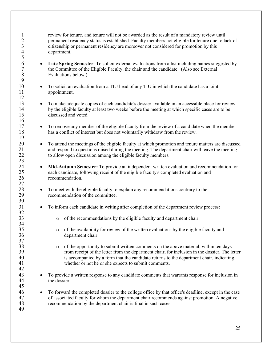1 review for tenure, and tenure will not be awarded as the result of a mandatory review until<br>2 remains residency status is established. Faculty members not eligible for tenure due to la 2 permanent residency status is established. Faculty members not eligible for tenure due to lack of citizenship or permanent residency are moreover not considered for promotion by this 3 citizenship or permanent residency are moreover not considered for promotion by this department. 5 **6 • Late Spring Semester**: To solicit external evaluations from a list including names suggested by the Committee of the Eligible Faculty, the chair and the candidate. (Also see External 7 the Committee of the Eligible Faculty, the chair and the candidate. (Also see External Evaluations below.) Evaluations below.) 9 10 • To solicit an evaluation from a TIU head of any TIU in which the candidate has a joint 11 appointment. 12 13 • To make adequate copies of each candidate's dossier available in an accessible place for review 14 by the eligible faculty at least two weeks before the meeting at which specific cases are to be 15 discussed and voted. 16 <sup>17</sup> • To remove any member of the eligible faculty from the review of a candidate when the member has a conflict of interest but does not voluntarily withdraw from the review. has a conflict of interest but does not voluntarily withdraw from the review. 19 20 • To attend the meetings of the eligible faculty at which promotion and tenure matters are discussed<br>21 **•** and respond to questions raised during the meeting. The department chair will leave the meeting 21 and respond to questions raised during the meeting. The department chair will leave the meeting<br>22 to allow open discussion among the eligible faculty members. to allow open discussion among the eligible faculty members. 23 24 • **Mid-Autumn Semester:** To provide an independent written evaluation and recommendation for 25 each candidate, following receipt of the eligible faculty's completed evaluation and 26 recommendation. 27 28 • To meet with the eligible faculty to explain any recommendations contrary to the 29 recommendation of the committee. 30 31 • To inform each candidate in writing after completion of the department review process: 32<br>33  $\circ$  of the recommendations by the eligible faculty and department chair  $\frac{34}{35}$ 35 o of the availability for review of the written evaluations by the eligible faculty and department chair department chair 37 <sup>38</sup> o of the opportunity to submit written comments on the above material, within ten days<br><sup>39</sup> from receipt of the letter from the department chair, for inclusion in the dossier. The le 39 from receipt of the letter from the department chair, for inclusion in the dossier. The letter<br>40 is accompanied by a form that the candidate returns to the department chair, indicating is accompanied by a form that the candidate returns to the department chair, indicating 41 whether or not he or she expects to submit comments. 42 43 • To provide a written response to any candidate comments that warrants response for inclusion in the dossier. 45 46 • To forward the completed dossier to the college office by that office's deadline, except in the case 47 of associated faculty for whom the department chair recommends against promotion. A negative 48 recommendation by the department chair is final in such cases. 49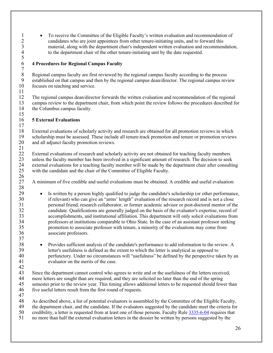• To receive the Committee of the Eligible Faculty's written evaluation and recommendation of candidates who are joint appointees from other tenure-initiating units, and to forward this 2 candidates who are joint appointees from other tenure-initiating units, and to forward this material, along with the department chair's independent written evaluation and recommen 3 material, along with the department chair's independent written evaluation and recommendation,<br>4 to the department chair of the other tenure-initiating unit by the date requested. to the department chair of the other tenure-initiating unit by the date requested.

### <span id="page-25-0"></span>6 **4 Procedures for Regional Campus Faculty**

8 Regional campus faculty are first reviewed by the regional campus faculty according to the process<br>9 established on that campus and then by the regional campus dean/director. The regional campus rev 9 established on that campus and then by the regional campus dean/director. The regional campus review 10 focuses on teaching and service. focuses on teaching and service.

 $\frac{11}{12}$ 12 The regional campus dean/director forwards the written evaluation and recommendation of the regional campus review to the department chair, from which point the review follows the procedures described for 13 campus review to the department chair, from which point the review follows the procedures described for the Columbus campus faculty. the Columbus campus faculty. 15

### <span id="page-25-1"></span>16 **5 External Evaluations**

 $\frac{5}{6}$ 

 $\begin{array}{c} 7 \\ 8 \end{array}$ 

28

37

 $\frac{17}{18}$ 18 External evaluations of scholarly activity and research are obtained for all promotion reviews in which<br>19 scholarship must be assessed. These include all tenure-track promotion and tenure or promotion review 19 scholarship must be assessed. These include all tenure-track promotion and tenure or promotion reviews 20 and all adjunct faculty promotion reviews. and all adjunct faculty promotion reviews. 21

22 External evaluations of research and scholarly activity are not obtained for teaching faculty members<br>23 unless the faculty member has been involved in a significant amount of research. The decision to seek 23 unless the faculty member has been involved in a significant amount of research. The decision to seek<br>24 external evaluations for a teaching faculty member will be made by the department chair after consulting 24 external evaluations for a teaching faculty member will be made by the department chair after consulting<br>25 with the candidate and the chair of the Committee of Eligible Faculty. with the candidate and the chair of the Committee of Eligible Faculty.  $\frac{26}{27}$ 

27 A minimum of five credible and useful evaluations must be obtained. A credible and useful evaluation:

- 29 Is written by a person highly qualified to judge the candidate's scholarship (or other performance, 30 if relevant) who can give an "arms' length" evaluation of the research record and is not a close 31 personal friend, research collaborator, or former academic advisor or post-doctoral mentor of the 32 candidate. Qualifications are generally judged on the basis of the evaluator's expertise, record of accomplishments, and institutional affiliation. This department will only solicit evaluations from 33 accomplishments, and institutional affiliation. This department will only solicit evaluations from<br>34 compares at institutions comparable to Ohio State. In the case of an assistant professor seeking 34 professors at institutions comparable to Ohio State. In the case of an assistant professor seeking 35 promotion to associate professor with tenure, a minority of the evaluations may come from 36 associate professors.
- <sup>38</sup> Provides sufficient analysis of the candidate's performance to add information to the review. A letter's usefulness is defined as the extent to which the letter is analytical as opposed to 39 letter's usefulness is defined as the extent to which the letter is analytical as opposed to 40 perfunctory. Under no circumstances will "usefulness" be defined by the perspective taken by an evaluator on the merits of the case evaluator on the merits of the case.

 $\frac{42}{43}$ 43 Since the department cannot control who agrees to write and or the usefulness of the letters received,<br>44 more letters are sought than are required, and they are solicited no later than the end of the spring more letters are sought than are required, and they are solicited no later than the end of the spring 45 semester prior to the review year. This timing allows additional letters to be requested should fewer than 46 five useful letters result from the first round of requests. five useful letters result from the first round of requests.

 $\frac{47}{48}$ 48 As described above, a list of potential evaluators is assembled by the Committee of the Eligible Faculty,<br>49 the department chair, and the candidate. If the evaluators suggested by the candidate meet the criteria for the department chair, and the candidate. If the evaluators suggested by the candidate meet the criteria for 50 credibility, a letter is requested from at least one of those persons. Faculty Rule [3335-6-04](https://trustees.osu.edu/bylaws-and-rules/3335-6) requires that 51 no more than half the external evaluation letters in the dossier be written by persons suggested by the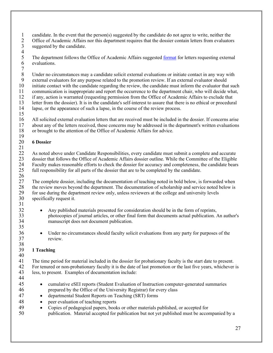- 1 candidate. In the event that the person(s) suggested by the candidate do not agree to write, neither the<br>2 Office of Academic Affairs nor this department requires that the dossier contain letters from evaluator
- 2 Office of Academic Affairs nor this department requires that the dossier contain letters from evaluators<br>3 suggested by the candidate.
- suggested by the candidate.
- $\frac{4}{5}$ 5 The department follows the Office of Academic Affairs suggested <u>format</u> for letters requesting external evaluations. evaluations.
- $7 \over 8$ 8 Under no circumstances may a candidate solicit external evaluations or initiate contact in any way with<br>9 external evaluators for any purpose related to the promotion review. If an external evaluator should
- 9 external evaluators for any purpose related to the promotion review. If an external evaluator should<br>10 initiate contact with the candidate regarding the review, the candidate must inform the evaluator that 10 initiate contact with the candidate regarding the review, the candidate must inform the evaluator that such<br>11 communication is inappropriate and report the occurrence to the department chair, who will decide what.
- communication is inappropriate and report the occurrence to the department chair, who will decide what,
- 12 if any, action is warranted (requesting permission from the Office of Academic Affairs to exclude that
- 13 letter from the dossier). It is in the candidate's self-interest to assure that there is no ethical or procedural lapse, or the appearance of such a lapse, in the course of the review process. lapse, or the appearance of such a lapse, in the course of the review process.
- 15
- 16 All solicited external evaluation letters that are received must be included in the dossier. If concerns arise<br>17 about any of the letters received, these concerns may be addressed in the department's written evaluation 17 about any of the letters received, these concerns may be addressed in the department's written evaluations 18 or brought to the attention of the Office of Academic Affairs for advice. or brought to the attention of the Office of Academic Affairs for advice.
- <span id="page-26-0"></span>19 20 **6 Dossier**
- 21

22 As noted above under Candidate Responsibilities, every candidate must submit a complete and accurate 23 dossier that follows the Office of Academic Affairs dossier outline. While the Committee of the Eligible<br>24 Faculty makes reasonable efforts to check the dossier for accuracy and completeness, the candidate bears 24 Faculty makes reasonable efforts to check the dossier for accuracy and completeness, the candidate bears<br>25 full responsibility for all parts of the dossier that are to be completed by the candidate. 25 full responsibility for all parts of the dossier that are to be completed by the candidate.

- $\frac{26}{27}$ The complete dossier, including the documentation of teaching noted in bold below, is forwarded when 28 the review moves beyond the department. The documentation of scholarship and service noted below is<br>29 for use during the department review only, unless reviewers at the college and university levels 29 for use during the department review only, unless reviewers at the college and university levels 30 specifically request it. specifically request it. 31
- <sup>32</sup> Any published materials presented for consideration should be in the form of reprints,<br>33 bhotocopies of journal articles, or other final form that documents actual publication. 33 photocopies of journal articles, or other final form that documents actual publication. An author's manuscript does not document publication.
- 36 Under no circumstances should faculty solicit evaluations from any party for purposes of the 37 review.

### <span id="page-26-1"></span>38<br>39 39 **1 Teaching**

 $\frac{40}{41}$ The time period for material included in the dossier for probationary faculty is the start date to present. 42 For tenured or non-probationary faculty it is the date of last promotion or the last five years, whichever is<br>43 Iess, to present. Examples of documentation include: less, to present. Examples of documentation include:

44

35

- 45 cumulative eSEI reports (Student Evaluation of Instruction computer-generated summaries 46 prepared by the Office of the University Registrar) for every class
- 47 departmental Student Reports on Teaching (SRT) forms
- 48 peer evaluation of teaching reports
- 49 Copies of pedagogical papers, books or other materials published, or accepted for
- 50 publication. Material accepted for publication but not yet published must be accompanied by a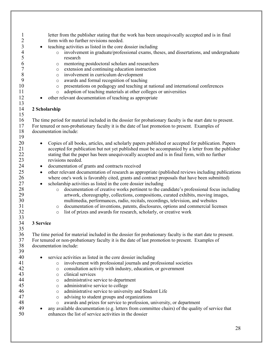<span id="page-27-1"></span><span id="page-27-0"></span>

| 1              | letter from the publisher stating that the work has been unequivocally accepted and is in final                 |
|----------------|-----------------------------------------------------------------------------------------------------------------|
| $\overline{c}$ | form with no further revisions needed.                                                                          |
| 3              | teaching activities as listed in the core dossier including                                                     |
| 4<br>5         | involvement in graduate/professional exams, theses, and dissertations, and undergraduate<br>$\circ$<br>research |
| 6              | mentoring postdoctoral scholars and researchers                                                                 |
| $\overline{7}$ | $\circ$<br>extension and continuing education instruction                                                       |
| 8              | $\circ$                                                                                                         |
|                | involvement in curriculum development<br>$\circ$                                                                |
| 9              | awards and formal recognition of teaching<br>$\circ$                                                            |
| 10             | presentations on pedagogy and teaching at national and international conferences<br>$\circ$                     |
| 11             | adoption of teaching materials at other colleges or universities<br>$\circ$                                     |
| 12<br>13       | other relevant documentation of teaching as appropriate                                                         |
| 14<br>15       | 2 Scholarship                                                                                                   |
| 16             | The time period for material included in the dossier for probationary faculty is the start date to present.     |
| 17             | For tenured or non-probationary faculty it is the date of last promotion to present. Examples of                |
| 18             | documentation include:                                                                                          |
| 19             |                                                                                                                 |
| 20             | Copies of all books, articles, and scholarly papers published or accepted for publication. Papers<br>$\bullet$  |
| 21             | accepted for publication but not yet published must be accompanied by a letter from the publisher               |
| 22             | stating that the paper has been unequivocally accepted and is in final form, with no further                    |
| 23             | revisions needed.                                                                                               |
|                |                                                                                                                 |
| 24             | documentation of grants and contracts received<br>$\bullet$                                                     |
| 25             | other relevant documentation of research as appropriate (published reviews including publications<br>$\bullet$  |
| 26             | where one's work is favorably cited, grants and contract proposals that have been submitted)                    |
| 27             | scholarship activities as listed in the core dossier including<br>$\bullet$                                     |
| 28             | documentation of creative works pertinent to the candidate's professional focus including<br>$\circ$            |
| 29             | artwork, choreography, collections, compositions, curated exhibits, moving images,                              |
| 30             | multimedia, performances, radio, recitals, recordings, television, and websites                                 |
| 31             | documentation of inventions, patents, disclosures, options and commercial licenses<br>$\circ$                   |
| 32             | list of prizes and awards for research, scholarly, or creative work<br>$\circ$                                  |
| 33             |                                                                                                                 |
| 34             | 3 Service                                                                                                       |
| 35             |                                                                                                                 |
| 36             | The time period for material included in the dossier for probationary faculty is the start date to present.     |
| 37             | For tenured or non-probationary faculty it is the date of last promotion to present. Examples of                |
| 38             | documentation include:                                                                                          |
| 39             |                                                                                                                 |
| 40             | service activities as listed in the core dossier including                                                      |
| 41             | involvement with professional journals and professional societies<br>$\circ$                                    |
| 42             | consultation activity with industry, education, or government                                                   |
| 43             | $\circ$<br>clinical services                                                                                    |
| 44             | $\circ$<br>administrative service to department                                                                 |
| 45             | $\circ$                                                                                                         |
|                | administrative service to college<br>$\circ$                                                                    |
| 46             | administrative service to university and Student Life<br>$\circ$                                                |
| 47             | advising to student groups and organizations<br>$\circ$                                                         |
| 48             | awards and prizes for service to profession, university, or department<br>$\circ$                               |
| 49             | any available documentation (e.g. letters from committee chairs) of the quality of service that                 |
| 50             | enhances the list of service activities in the dossier                                                          |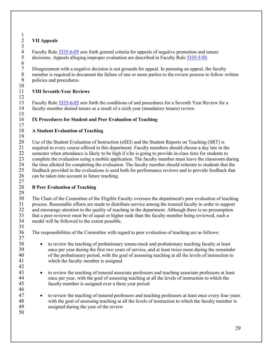#### <span id="page-28-0"></span> $\frac{1}{2}$ 2 **VII Appeals**

12

 $\frac{3}{4}$ 4 Faculty Rule  $\frac{3335-6-05}{3}$  sets forth general criteria for appeals of negative promotion and tenure<br>5 decisions. Appeals alleging improper evaluation are described in Faculty Rule  $\frac{3335-5-05}{3}$ . 5 decisions. Appeals alleging improper evaluation are described in Faculty Rul[e 3335-5-05.](https://trustees.osu.edu/bylaws-and-rules/3335-5)  $\frac{6}{7}$ 

7 Disagreement with a negative decision is not grounds for appeal. In pursuing an appeal, the faculty<br>8 member is required to document the failure of one or more parties to the review process to follow w 8 member is required to document the failure of one or more parties to the review process to follow written<br>9 nolicies and procedures. 9 policies and procedures.

#### <span id="page-28-1"></span> $\frac{10}{11}$ 11 **VIII Seventh-Year Reviews**

13 Faculty Rule  $\frac{3335-6-05}{2}$  sets forth the conditions of and procedures for a Seventh Year Review for a 14 faculty member denied tenure as a result of a sixth year (mandatory tenure) review. faculty member denied tenure as a result of a sixth year (mandatory tenure) review. 15

### <span id="page-28-2"></span>16 **IX Procedures for Student and Peer Evaluation of Teaching**

#### <span id="page-28-3"></span> $\frac{17}{18}$ 18 **A Student Evaluation of Teaching** 19

20 Use of the Student Evaluation of Instruction (eSEI) and the Student Reports on Teaching (SRT) is<br>21 required in every course offered in this department. Faculty members should choose a day late in the 21 required in every course offered in this department. Faculty members should choose a day late in the 22 semester when attendance is likely to be high if s/he is going to provide in-class time for students to 23 complete the evaluation using a mobile application. The faculty member must leave the classroom during<br>24 the time allotted for completing the evaluation. The faculty member should reiterate to students that the 24 the time allotted for completing the evaluation. The faculty member should reiterate to students that the<br>25 feedback provided in the evaluations is used both for performance reviews and to provide feedback that 25 feedback provided in the evaluations is used both for performance reviews and to provide feedback that 26 can be taken into account in future teaching. can be taken into account in future teaching.

#### $\frac{27}{28}$ 28 **B Peer Evaluation of Teaching**

<span id="page-28-4"></span> $\frac{29}{30}$ 30 The Chair of the Committee of the Eligible Faculty oversees the department's peer evaluation of teaching<br>31 process. Reasonable efforts are made to distribute service among the tenured faculty in order to support 31 process. Reasonable efforts are made to distribute service among the tenured faculty in order to support and encourage attention to the quality of teaching in the department. Although there is no presumption 32 and encourage attention to the quality of teaching in the department. Although there is no presumption<br>33 that a peer reviewer must be of equal or higher rank than the faculty member being reviewed, such a 33 that a peer reviewer must be of equal or higher rank than the faculty member being reviewed, such a model will be followed to the extent possible. model will be followed to the extent possible. 35

36 The responsibilities of the Committee with regard to peer evaluation of teaching are as follows: 37

- 38 to review the teaching of probationary tenure-track and probationary teaching faculty at least 39 once per year during the first two years of service, and at least twice more during the remainder<br>40 of the probationary period, with the goal of assessing teaching at all the levels of instruction to of the probationary period, with the goal of assessing teaching at all the levels of instruction to 41 which the faculty member is assigned
- 43 to review the teaching of tenured associate professors and teaching associate professors at least 44 once per year, with the goal of assessing teaching at all the levels of instruction to which the 45 faculty member is assigned over a three year period
- <sup>47</sup> to review the teaching of tenured professors and teaching professors at least once every four years with the goal of assessing teaching at all the levels of instruction to which the faculty member is 48 with the goal of assessing teaching at all the levels of instruction to which the faculty member is assigned during the vear of the review assigned during the year of the review

50

42

46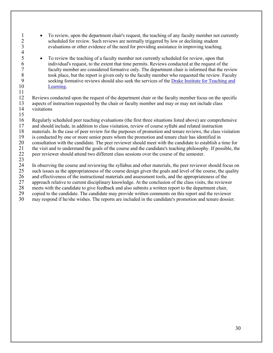- 1 To review, upon the department chair's request, the teaching of any faculty member not currently 2 scheduled for review. Such reviews are normally triggered by low or declining student<br>3 evaluations or other evidence of the need for providing assistance in improving teaching evaluations or other evidence of the need for providing assistance in improving teaching.
- 5 To review the teaching of a faculty member not currently scheduled for review, upon that individual's request, to the extent that time permits. Reviews conducted at the request of the 6 individual's request, to the extent that time permits. Reviews conducted at the request of the 7 faculty member are considered formative only. The department chair is informed that the review<br>8 took place, but the report is given only to the faculty member who requested the review. Faculty 8 took place, but the report is given only to the faculty member who requested the review. Faculty<br>9 seeking formative reviews should also seek the services of the Drake Institute for Teaching and 9 seeking formative reviews should also seek the services of the <u>Drake Institute for Teaching and</u> 10 [Learning.](https://drakeinstitute.osu.edu/)

12 Reviews conducted upon the request of the department chair or the faculty member focus on the specific<br>13 aspects of instruction requested by the chair or faculty member and may or may not include class 13 aspects of instruction requested by the chair or faculty member and may or may not include class<br>14 visitations visitations

15

11

 $\frac{4}{5}$ 

16 Regularly scheduled peer teaching evaluations (the first three situations listed above) are comprehensive

- 17 and should include, in addition to class visitation, review of course syllabi and related instruction 18 materials. In the case of peer review for the purposes of promotion and tenure reviews, the class v
- 18 materials. In the case of peer review for the purposes of promotion and tenure reviews, the class visitation is conducted by one or more senior peers whom the promotion and tenure chair has identified in
- 19 is conducted by one or more senior peers whom the promotion and tenure chair has identified in<br>20 consultation with the candidate. The peer reviewer should meet with the candidate to establish a t

20 consultation with the candidate. The peer reviewer should meet with the candidate to establish a time for<br>21 the visit and to understand the goals of the course and the candidate's teaching philosophy. If possible, the 21 the visit and to understand the goals of the course and the candidate's teaching philosophy. If possible, the

22 peer reviewer should attend two different class sessions over the course of the semester.

 $\frac{23}{24}$ 24 In observing the course and reviewing the syllabus and other materials, the peer reviewer should focus on such issues as the appropriateness of the course design given the goals and level of the course, the quality

25 such issues as the appropriateness of the course design given the goals and level of the course, the quality<br>26 and effectiveness of the instructional materials and assessment tools, and the appropriateness of the

26 and effectiveness of the instructional materials and assessment tools, and the appropriateness of the approach relative to current disciplinary knowledge. At the conclusion of the class visits, the review 27 approach relative to current disciplinary knowledge. At the conclusion of the class visits, the reviewer

28 meets with the candidate to give feedback and also submits a written report to the department chair,

- 29 copied to the candidate. The candidate may provide written comments on this report and the reviewer
- 30 may respond if he/she wishes. The reports are included in the candidate's promotion and tenure dossier.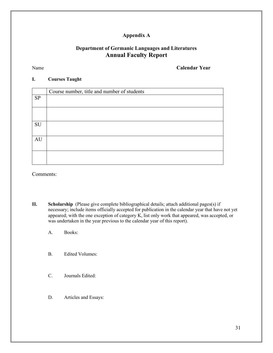### **Appendix A**

### **Department of Germanic Languages and Literatures Annual Faculty Report**

Name **Calendar Year**

#### **I. Courses Taught**

|                            | Course number, title and number of students |
|----------------------------|---------------------------------------------|
| $\ensuremath{\mathrm{SP}}$ |                                             |
|                            |                                             |
|                            |                                             |
|                            |                                             |
| SU                         |                                             |
|                            |                                             |
| AU                         |                                             |
|                            |                                             |
|                            |                                             |
|                            |                                             |

Comments:

- **II. Scholarship** (Please give complete bibliographical details; attach additional pages(s) if necessary; include items officially accepted for publication in the calendar year that have not yet appeared; with the one exception of category K, list only work that appeared, was accepted, or was undertaken in the year previous to the calendar year of this report).
	- A. Books:
	- B. Edited Volumes:
	- C. Journals Edited:
	- D. Articles and Essays: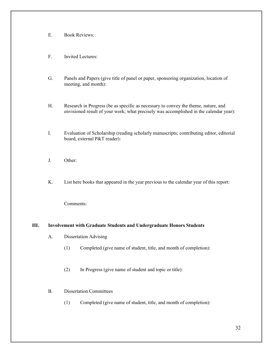- E. Book Reviews:
- F. Invited Lectures:
- G. Panels and Papers (give title of panel or paper, sponsoring organization, location of meeting, and month):
- H. Research in Progress (be as specific as necessary to convey the theme, nature, and envisioned result of your work; what precisely was accomplished in the calendar year):
- I. Evaluation of Scholarship (reading scholarly manuscripts; contributing editor, editorial board, external P&T reader):
- J. Other:
- K. List here books that appeared in the year previous to the calendar year of this report:

Comments:

#### **III. Involvement with Graduate Students and Undergraduate Honors Students**

- A. Dissertation Advising
	- (1) Completed (give name of student, title, and month of completion):
	- (2) In Progress (give name of student and topic or title):

#### B. Dissertation Committees

(1) Completed (give name of student, title, and month of completion):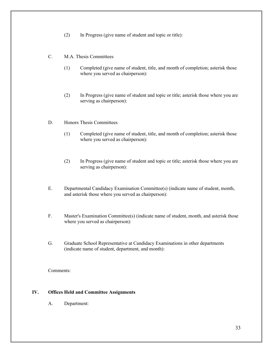- (2) In Progress (give name of student and topic or title):
- C. M.A. Thesis Committees
	- (1) Completed (give name of student, title, and month of completion; asterisk those where you served as chairperson):
	- (2) In Progress (give name of student and topic or title; asterisk those where you are serving as chairperson):
- D. Honors Thesis Committees
	- (1) Completed (give name of student, title, and month of completion; asterisk those where you served as chairperson):
	- (2) In Progress (give name of student and topic or title; asterisk those where you are serving as chairperson):
- E. Departmental Candidacy Examination Committee(s) (indicate name of student, month, and asterisk those where you served as chairperson):
- F. Master's Examination Committee(s) (indicate name of student, month, and asterisk those where you served as chairperson):
- G. Graduate School Representative at Candidacy Examinations in other departments (indicate name of student, department, and month):

Comments:

#### **IV. Offices Held and Committee Assignments**

A. Department: